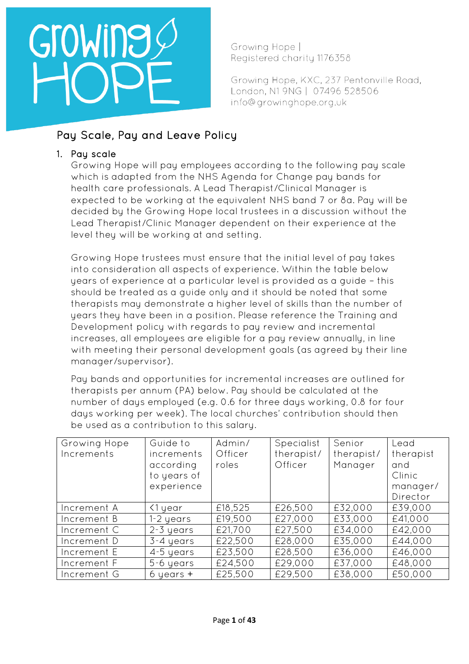Growing Hope | Registered charity 1176358

Growing Hope, KXC, 237 Pentonville Road, London, N1 9NG | 07496 528506 info@growinghope.org.uk

## Pay Scale, Pay and Leave Policy

## 1. Pay scale

Growing Hope will pay employees according to the following pay scale which is adapted from the NHS Agenda for Change pay bands for health care professionals. A Lead Therapist/Clinical Manager is expected to be working at the equivalent NHS band 7 or 8a. Pay will be decided by the Growing Hope local trustees in a discussion without the Lead Therapist/Clinic Manager dependent on their experience at the level they will be working at and setting.

Growing Hope trustees must ensure that the initial level of pay takes into consideration all aspects of experience. Within the table below years of experience at a particular level is provided as a guide – this should be treated as a guide only and it should be noted that some therapists may demonstrate a higher level of skills than the number of years they have been in a position. Please reference the Training and Development policy with regards to pay review and incremental increases, all employees are eligible for a pay review annually, in line with meeting their personal development goals (as agreed by their line manager/supervisor).

Pay bands and opportunities for incremental increases are outlined for therapists per annum (PA) below. Pay should be calculated at the number of days employed (e.g. 0.6 for three days working, 0.8 for four days working per week). The local churches' contribution should then be used as a contribution to this salary.

| Growing Hope<br>Increments | Guide to<br>increments<br>according<br>to years of<br>experience | Admin/<br>Officer<br>roles | Specialist<br>therapist/<br>Officer | Senior<br>therapist/<br>Manager | Lead<br>therapist<br>and<br>Clinic<br>manager/<br>Director |
|----------------------------|------------------------------------------------------------------|----------------------------|-------------------------------------|---------------------------------|------------------------------------------------------------|
| Increment A                | K1 year                                                          | £18,525                    | £26,500                             | £32,000                         | £39,000                                                    |
| Increment B                | $1-2$ years                                                      | £19,500                    | £27,000                             | £33,000                         | £41,000                                                    |
| Increment C                | $2-3$ years                                                      | £21,700                    | £27,500                             | £34,000                         | £42,000                                                    |
| Increment D                | 3-4 years                                                        | £22,500                    | £28,000                             | £35,000                         | £44,000                                                    |
| Increment E                | 4-5 years                                                        | £23,500                    | £28,500                             | £36,000                         | £46,000                                                    |
| Increment F                | 5-6 years                                                        | £24,500                    | £29,000                             | £37,000                         | £48,000                                                    |
| Increment G                | $6$ years $+$                                                    | £25,500                    | £29,500                             | £38,000                         | £50,000                                                    |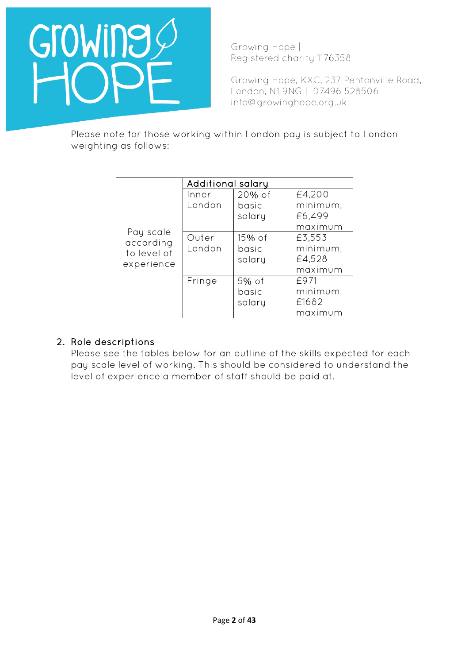

Growing Hope | Registered charity 1176358

Growing Hope, KXC, 237 Pentonville Road, London, N1 9NG | 07496 528506 info@growinghope.org.uk

Please note for those working within London pay is subject to London weighting as follows:

|                                                     | Additional salary |           |          |  |
|-----------------------------------------------------|-------------------|-----------|----------|--|
| Pay scale<br>according<br>to level of<br>experience | Inner             | $20\%$ of | £4,200   |  |
|                                                     | London            | basic     | minimum, |  |
|                                                     |                   | salary    | £6,499   |  |
|                                                     |                   |           | maximum  |  |
|                                                     | Outer             | $15\%$ of | £3,553   |  |
|                                                     | London            | basic     | minimum, |  |
|                                                     |                   | salary    | £4,528   |  |
|                                                     |                   |           | maximum  |  |
|                                                     | Fringe            | 5% of     | £971     |  |
|                                                     |                   | basic     | minimum, |  |
|                                                     |                   | salary    | £1682    |  |
|                                                     |                   |           | maximum  |  |

#### 2. Role descriptions

Please see the tables below for an outline of the skills expected for each pay scale level of working. This should be considered to understand the level of experience a member of staff should be paid at.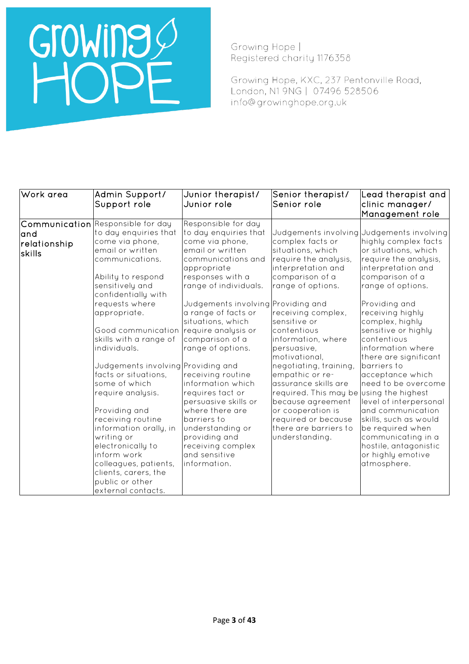Growing Hope | Registered charity 1176358

Growing Hope, KXC, 237 Pentonville Road, London, N1 9NG | 07496 528506 info@growinghope.org.uk

| Work area    | Admin Support/                         | Junior therapist/                  | Senior therapist/                       | Lead therapist and                          |
|--------------|----------------------------------------|------------------------------------|-----------------------------------------|---------------------------------------------|
|              | Support role                           | Junior role                        | Senior role                             | clinic manager/                             |
|              |                                        |                                    |                                         | Management role                             |
|              | Communication Responsible for day      | Responsible for day                |                                         |                                             |
| land         | to day enquiries that                  | to day enquiries that              |                                         | Judgements involving Judgements involving   |
| relationship | come via phone,                        | come via phone,                    | complex facts or                        | highly complex facts                        |
| skills       | email or written                       | email or written                   | situations, which                       | or situations, which                        |
|              | communications.                        | communications and                 | require the analysis,                   | require the analysis,                       |
|              |                                        | appropriate                        | interpretation and                      | interpretation and                          |
|              | Ability to respond                     | responses with a                   | comparison of a                         | comparison of a                             |
|              | sensitively and<br>confidentially with | range of individuals.              | range of options.                       | range of options.                           |
|              | requests where                         | Judgements involving Providing and |                                         | Providing and                               |
|              | appropriate.                           | a range of facts or                | receiving complex,                      | receiving highly                            |
|              |                                        | situations, which                  | sensitive or                            | complex, highly                             |
|              | Good communication                     | require analysis or                | contentious                             | sensitive or highly                         |
|              | skills with a range of                 | comparison of a                    | information, where                      | contentious                                 |
|              | individuals.                           | range of options.                  | persuasive,                             | information where                           |
|              |                                        |                                    | motivational,                           | there are significant                       |
|              | Judgements involving Providing and     |                                    | negotiating, training,                  | barriers to                                 |
|              | facts or situations,                   | receiving routine                  | empathic or re-                         | acceptance which                            |
|              | some of which                          | information which                  | assurance skills are                    | need to be overcome                         |
|              | require analysis.                      | requires tact or                   | required. This may be using the highest |                                             |
|              |                                        | persuasive skills or               | because agreement                       | level of interpersonal                      |
|              | Providing and                          | where there are                    | or cooperation is                       | and communication                           |
|              | receiving routine                      | barriers to                        | required or because                     | skills, such as would                       |
|              | information orally, in                 | understanding or<br>providing and  | there are barriers to                   | be required when                            |
|              | writing or<br>electronically to        | receiving complex                  | understanding.                          | communicating in a<br>hostile, antagonistic |
|              | inform work                            | and sensitive                      |                                         | or highly emotive                           |
|              | colleagues, patients,                  | information.                       |                                         | atmosphere.                                 |
|              | clients, carers, the                   |                                    |                                         |                                             |
|              | public or other                        |                                    |                                         |                                             |
|              | external contacts.                     |                                    |                                         |                                             |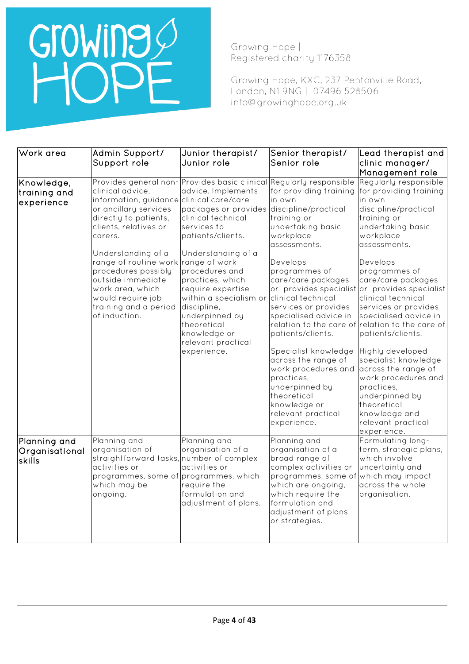## Growing O

Growing Hope | Registered charity 1176358

Growing Hope, KXC, 237 Pentonville Road, London, N1 9NG | 07496 528506 info@growinghope.org.uk

| Work area                                | Admin Support/                                                                                                                                                                                                                                                                                                                                                          | Junior therapist/                                                                                                                                                                                                                                                                                                                                                                          | Senior therapist/                                                                                                                                                                                                                                                                                                                                                                                                          | Lead therapist and                                                                                                                                                                                                                                                                                                                                                                                                                                                                                                                                                                    |
|------------------------------------------|-------------------------------------------------------------------------------------------------------------------------------------------------------------------------------------------------------------------------------------------------------------------------------------------------------------------------------------------------------------------------|--------------------------------------------------------------------------------------------------------------------------------------------------------------------------------------------------------------------------------------------------------------------------------------------------------------------------------------------------------------------------------------------|----------------------------------------------------------------------------------------------------------------------------------------------------------------------------------------------------------------------------------------------------------------------------------------------------------------------------------------------------------------------------------------------------------------------------|---------------------------------------------------------------------------------------------------------------------------------------------------------------------------------------------------------------------------------------------------------------------------------------------------------------------------------------------------------------------------------------------------------------------------------------------------------------------------------------------------------------------------------------------------------------------------------------|
|                                          | Support role                                                                                                                                                                                                                                                                                                                                                            | Junior role                                                                                                                                                                                                                                                                                                                                                                                | Senior role                                                                                                                                                                                                                                                                                                                                                                                                                | clinic manager/                                                                                                                                                                                                                                                                                                                                                                                                                                                                                                                                                                       |
|                                          |                                                                                                                                                                                                                                                                                                                                                                         |                                                                                                                                                                                                                                                                                                                                                                                            |                                                                                                                                                                                                                                                                                                                                                                                                                            | Management role                                                                                                                                                                                                                                                                                                                                                                                                                                                                                                                                                                       |
| Knowledge,<br>training and<br>experience | Provides general non-<br>clinical advice,<br>information, guidance clinical care/care<br>or ancillary services<br>directly to patients,<br>clients, relatives or<br>carers.<br>Understanding of a<br>range of routine work range of work<br>procedures possibly<br>outside immediate<br>work area, which<br>would require job<br>training and a period<br>of induction. | Provides basic clinical Regularly responsible<br>advice. Implements<br>packages or provides discipline/practical<br>clinical technical<br>services to<br>patients/clients.<br>Understanding of a<br>procedures and<br>practices, which<br>require expertise<br>within a specialism or<br>discipline,<br>underpinned by<br>theoretical<br>knowledge or<br>relevant practical<br>experience. | for providing training<br>in own<br>training or<br>undertaking basic<br>workplace<br>assessments.<br>Develops<br>programmes of<br>care/care packages<br>clinical technical<br>services or provides<br>specialised advice in<br>patients/clients.<br>Specialist knowledge<br>across the range of<br>work procedures and<br>practices,<br>underpinned by<br>theoretical<br>knowledge or<br>relevant practical<br>experience. | Regularly responsible<br>for providing training<br>in own<br>discipline/practical<br>training or<br>undertaking basic<br>workplace<br>assessments.<br>Develops<br>programmes of<br>care/care packages<br>or provides specialist or provides specialist<br>clinical technical<br>services or provides<br>specialised advice in<br>relation to the care of relation to the care of<br>patients/clients.<br>Highly developed<br>specialist knowledge<br>across the range of<br>work procedures and<br>practices,<br>underpinned by<br>theoretical<br>knowledge and<br>relevant practical |
| Planning and<br>Organisational<br>skills | Planning and<br>organisation of<br>straightforward tasks, number of complex<br>activities or<br>programmes, some of programmes, which<br>which may be<br>ongoing.                                                                                                                                                                                                       | Planning and<br>organisation of a<br>activities or<br>require the<br>formulation and<br>adjustment of plans.                                                                                                                                                                                                                                                                               | Planning and<br>organisation of a<br>broad range of<br>complex activities or<br>programmes, some of which may impact<br>which are ongoing,<br>which require the<br>formulation and<br>adjustment of plans<br>or strategies.                                                                                                                                                                                                | experience.<br>Formulating long-<br>term, strategic plans,<br>which involve<br>uncertainty and<br>across the whole<br>organisation.                                                                                                                                                                                                                                                                                                                                                                                                                                                   |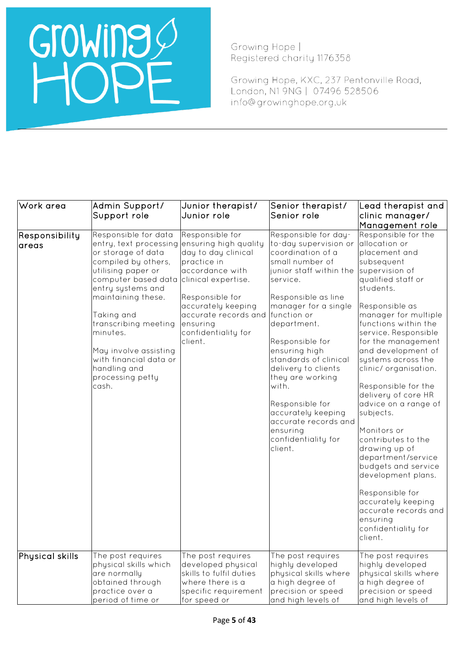Growing Hope | Registered charity 1176358

Growing Hope, KXC, 237 Pentonville Road, London, N1 9NG | 07496 528506 info@growinghope.org.uk

| Work area               | Admin Support/<br>Support role                                                                                                                                                                                                                                                                                                        | Junior therapist/<br>Junior role                                                                                                                                                                                                        | Senior therapist/<br>Senior role                                                                                                                                                                                                                                                                                                                                                                                                          | Lead therapist and<br>clinic manager/<br>Management role                                                                                                                                                                                                                                                                                                                                                                                                                                                                                                                                                                                |
|-------------------------|---------------------------------------------------------------------------------------------------------------------------------------------------------------------------------------------------------------------------------------------------------------------------------------------------------------------------------------|-----------------------------------------------------------------------------------------------------------------------------------------------------------------------------------------------------------------------------------------|-------------------------------------------------------------------------------------------------------------------------------------------------------------------------------------------------------------------------------------------------------------------------------------------------------------------------------------------------------------------------------------------------------------------------------------------|-----------------------------------------------------------------------------------------------------------------------------------------------------------------------------------------------------------------------------------------------------------------------------------------------------------------------------------------------------------------------------------------------------------------------------------------------------------------------------------------------------------------------------------------------------------------------------------------------------------------------------------------|
| Responsibility<br>areas | Responsible for data<br>entry, text processing<br>or storage of data<br>compiled by others,<br>utilising paper or<br>computer based data<br>entry systems and<br>maintaining these.<br>Taking and<br>transcribing meeting<br>minutes.<br>May involve assisting<br>with financial data or<br>handling and<br>processing petty<br>cash. | Responsible for<br>ensuring high quality<br>day to day clinical<br>practice in<br>accordance with<br>clinical expertise.<br>Responsible for<br>accurately keeping<br>accurate records and<br>ensuring<br>confidentiality for<br>client. | Responsible for day-<br>to-day supervision or<br>coordination of a<br>small number of<br>junior staff within the<br>service.<br>Responsible as line<br>manager for a single<br>function or<br>department.<br>Responsible for<br>ensuring high<br>standards of clinical<br>delivery to clients<br>they are working<br>with.<br>Responsible for<br>accurately keeping<br>accurate records and<br>ensuring<br>confidentiality for<br>client. | Responsible for the<br>allocation or<br>placement and<br>subsequent<br>supervision of<br>qualified staff or<br>students.<br>Responsible as<br>manager for multiple<br>functions within the<br>service. Responsible<br>for the management<br>and development of<br>systems across the<br>clinic/organisation.<br>Responsible for the<br>delivery of core HR<br>advice on a range of<br>subjects.<br>Monitors or<br>contributes to the<br>drawing up of<br>department/service<br>budgets and service<br>development plans.<br>Responsible for<br>accurately keeping<br>accurate records and<br>ensuring<br>confidentiality for<br>client. |
| Physical skills         | The post requires<br>physical skills which<br>are normally<br>obtained through<br>practice over a<br>period of time or                                                                                                                                                                                                                | The post requires<br>developed physical<br>skills to fulfil duties<br>where there is a<br>specific requirement<br>for speed or                                                                                                          | The post requires<br>highly developed<br>physical skills where<br>a high degree of<br>precision or speed<br>and high levels of                                                                                                                                                                                                                                                                                                            | The post requires<br>highly developed<br>physical skills where<br>a high degree of<br>precision or speed<br>and high levels of                                                                                                                                                                                                                                                                                                                                                                                                                                                                                                          |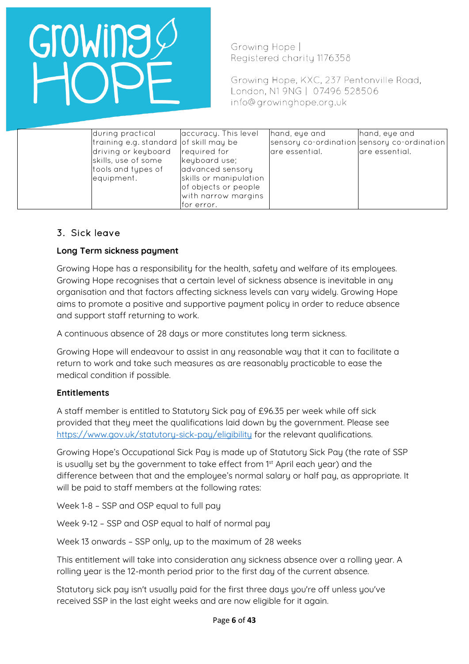Growing Hope | Registered charity 1176358

Growing Hope, KXC, 237 Pentonville Road, London, N1 9NG | 07496 528506 info@growinghope.org.uk

| during practical    | accuracy. This level                   |                        | hand, eye and  | hand, eye and                               |
|---------------------|----------------------------------------|------------------------|----------------|---------------------------------------------|
|                     | training e.g. standard of skill may be |                        |                | sensory co-ordination sensory co-ordination |
| driving or keyboard | required for                           |                        | are essential. | are essential.                              |
| skills, use of some | keyboard use;                          |                        |                |                                             |
| tools and types of  | advanced sensory                       |                        |                |                                             |
| equipment.          |                                        | skills or manipulation |                |                                             |
|                     |                                        | of objects or people   |                |                                             |
|                     |                                        | with narrow margins    |                |                                             |
|                     | for error.                             |                        |                |                                             |

## 3. Sick leave

#### **Long Term sickness payment**

Growing Hope has a responsibility for the health, safety and welfare of its employees. Growing Hope recognises that a certain level of sickness absence is inevitable in any organisation and that factors affecting sickness levels can vary widely. Growing Hope aims to promote a positive and supportive payment policy in order to reduce absence and support staff returning to work.

A continuous absence of 28 days or more constitutes long term sickness.

Growing Hope will endeavour to assist in any reasonable way that it can to facilitate a return to work and take such measures as are reasonably practicable to ease the medical condition if possible.

#### **Entitlements**

A staff member is entitled to Statutory Sick pay of £96.35 per week while off sick provided that they meet the qualifications laid down by the government. Please see <https://www.gov.uk/statutory-sick-pay/eligibility> for the relevant qualifications.

Growing Hope's Occupational Sick Pay is made up of Statutory Sick Pay (the rate of SSP is usually set by the government to take effect from 1<sup>st</sup> April each year) and the difference between that and the employee's normal salary or half pay, as appropriate. It will be paid to staff members at the following rates:

Week 1-8 – SSP and OSP equal to full pay

Week 9-12 – SSP and OSP equal to half of normal pay

Week 13 onwards – SSP only, up to the maximum of 28 weeks

This entitlement will take into consideration any sickness absence over a rolling year. A rolling year is the 12-month period prior to the first day of the current absence.

Statutory sick pay isn't usually paid for the first three days you're off unless you've received SSP in the last eight weeks and are now eligible for it again.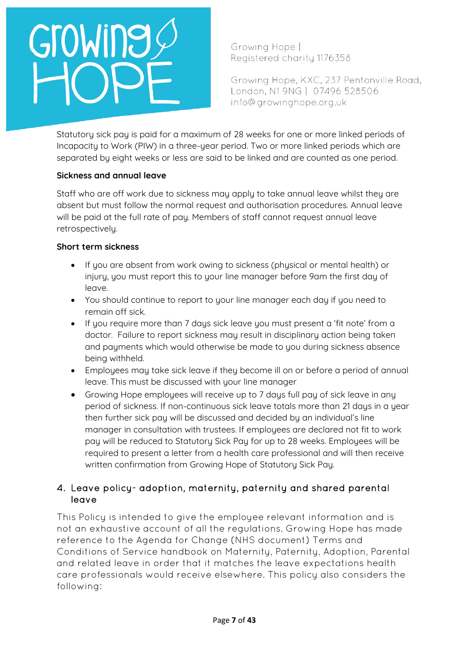# GroWine

Growing Hope | Registered charity 1176358

Growing Hope, KXC, 237 Pentonville Road, London, N1 9NG | 07496 528506 info@growinghope.org.uk

Statutory sick pay is paid for a maximum of 28 weeks for one or more linked periods of Incapacity to Work (PIW) in a three-year period. Two or more linked periods which are separated by eight weeks or less are said to be linked and are counted as one period.

#### **Sickness and annual leave**

Staff who are off work due to sickness may apply to take annual leave whilst they are absent but must follow the normal request and authorisation procedures. Annual leave will be paid at the full rate of pay. Members of staff cannot request annual leave retrospectively.

#### **Short term sickness**

- If you are absent from work owing to sickness (physical or mental health) or injury, you must report this to your line manager before 9am the first day of leave.
- You should continue to report to your line manager each day if you need to remain off sick.
- If you require more than 7 days sick leave you must present a 'fit note' from a doctor. Failure to report sickness may result in disciplinary action being taken and payments which would otherwise be made to you during sickness absence being withheld.
- Employees may take sick leave if they become ill on or before a period of annual leave. This must be discussed with your line manager
- Growing Hope emplouees will receive up to 7 days full pay of sick leave in any period of sickness. If non-continuous sick leave totals more than 21 days in a year then further sick pay will be discussed and decided by an individual's line manager in consultation with trustees. If employees are declared not fit to work pay will be reduced to Statutory Sick Pay for up to 28 weeks. Employees will be required to present a letter from a health care professional and will then receive written confirmation from Growing Hope of Statutory Sick Pay.

### 4. Leave policy- adoption, maternity, paternity and shared parental leave

This Policu is intended to give the employee relevant information and is not an exhaustive account of all the regulations. Growing Hope has made reference to the Agenda for Change (NHS document) Terms and Conditions of Service handbook on Maternity, Paternity, Adoption, Parental and related leave in order that it matches the leave expectations health care professionals would receive elsewhere. This policy also considers the following: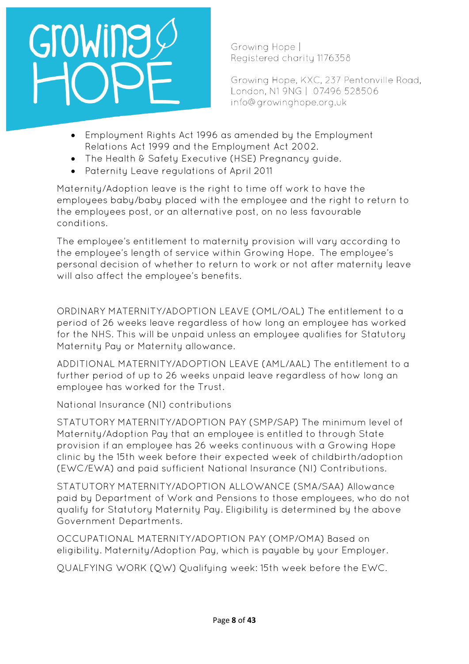Growing Hope | Registered charity 1176358

Growing Hope, KXC, 237 Pentonville Road, London, N1 9NG | 07496 528506 info@growinghope.org.uk

- Employment Rights Act 1996 as amended by the Employment Relations Act 1999 and the Employment Act 2002.
- The Health & Safety Executive (HSE) Pregnancy guide.
- Paternity Leave regulations of April 2011

Maternity/Adoption leave is the right to time off work to have the employees baby/baby placed with the employee and the right to return to the employees post, or an alternative post, on no less favourable conditions.

The employee's entitlement to maternity provision will vary according to the employee's length of service within Growing Hope. The employee's personal decision of whether to return to work or not after maternity leave will also affect the employee's benefits.

ORDINARY MATERNITY/ADOPTION LEAVE (OML/OAL) The entitlement to a period of 26 weeks leave regardless of how long an employee has worked for the NHS. This will be unpaid unless an employee qualifies for Statutory Maternity Pay or Maternity allowance.

ADDITIONAL MATERNITY/ADOPTION LEAVE (AML/AAL) The entitlement to a further period of up to 26 weeks unpaid leave regardless of how long an employee has worked for the Trust.

National Insurance (NI) contributions

STATUTORY MATERNITY/ADOPTION PAY (SMP/SAP) The minimum level of Maternity/Adoption Pay that an employee is entitled to through State provision if an employee has 26 weeks continuous with a Growing Hope clinic by the 15th week before their expected week of childbirth/adoption (EWC/EWA) and paid sufficient National Insurance (NI) Contributions.

STATUTORY MATERNITY/ADOPTION ALLOWANCE (SMA/SAA) Allowance paid by Department of Work and Pensions to those employees, who do not qualify for Statutory Maternity Pay. Eligibility is determined by the above Government Departments.

OCCUPATIONAL MATERNITY/ADOPTION PAY (OMP/OMA) Based on eligibility. Maternity/Adoption Pay, which is payable by your Employer.

QUALFYING WORK (QW) Qualifying week: 15th week before the EWC.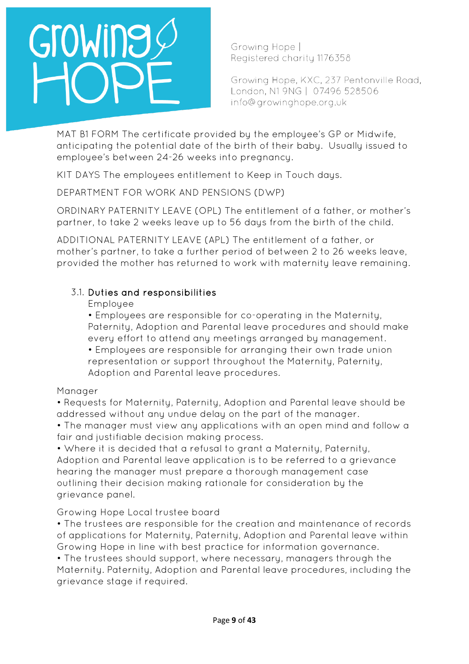

Growing Hope | Registered charity 1176358

Growing Hope, KXC, 237 Pentonville Road, London, N1 9NG | 07496 528506 info@growinghope.org.uk

MAT B1 FORM The certificate provided by the employee's GP or Midwife, anticipating the potential date of the birth of their baby. Usually issued to employee's between 24-26 weeks into pregnancy.

KIT DAYS The employees entitlement to Keep in Touch days.

DEPARTMENT FOR WORK AND PENSIONS (DWP)

ORDINARY PATERNITY LEAVE (OPL) The entitlement of a father, or mother's partner, to take 2 weeks leave up to 56 days from the birth of the child.

ADDITIONAL PATERNITY LEAVE (APL) The entitlement of a father, or mother's partner, to take a further period of between 2 to 26 weeks leave, provided the mother has returned to work with maternity leave remaining.

### 3.1. Duties and responsibilities

Employee

• Employees are responsible for co-operating in the Maternity, Paternity, Adoption and Parental leave procedures and should make every effort to attend any meetings arranged by management.

• Employees are responsible for arranging their own trade union representation or support throughout the Maternity, Paternity, Adoption and Parental leave procedures.

#### Manager

• Requests for Maternity, Paternity, Adoption and Parental leave should be addressed without any undue delay on the part of the manager.

• The manager must view any applications with an open mind and follow a fair and justifiable decision making process.

• Where it is decided that a refusal to grant a Maternity, Paternity, Adoption and Parental leave application is to be referred to a grievance hearing the manager must prepare a thorough management case outlining their decision making rationale for consideration by the grievance panel.

### Growing Hope Local trustee board

• The trustees are responsible for the creation and maintenance of records of applications for Maternity, Paternity, Adoption and Parental leave within Growing Hope in line with best practice for information governance.

• The trustees should support, where necessary, managers through the Maternity. Paternity, Adoption and Parental leave procedures, including the grievance stage if required.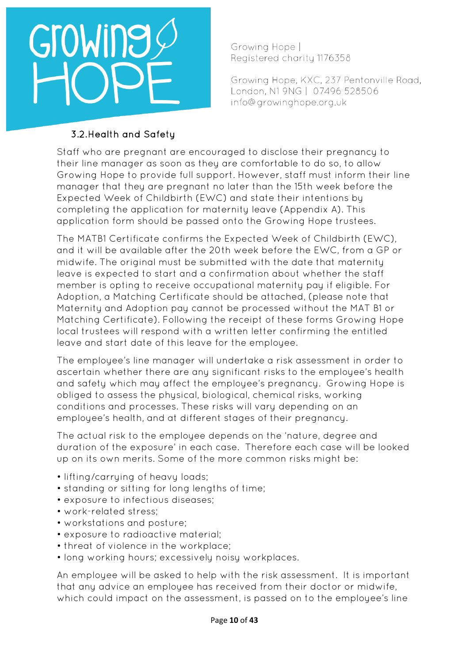

Growing Hope | Registered charity 1176358

Growing Hope, KXC, 237 Pentonville Road, London, N1 9NG | 07496 528506 info@growinghope.org.uk

## 3.2.Health and Safety

Staff who are pregnant are encouraged to disclose their pregnancy to their line manager as soon as they are comfortable to do so, to allow Growing Hope to provide full support. However, staff must inform their line manager that they are pregnant no later than the 15th week before the Expected Week of Childbirth (EWC) and state their intentions by completing the application for maternity leave (Appendix A). This application form should be passed onto the Growing Hope trustees.

The MATB1 Certificate confirms the Expected Week of Childbirth (EWC), and it will be available after the 20th week before the EWC, from a GP or midwife. The original must be submitted with the date that maternity leave is expected to start and a confirmation about whether the staff member is opting to receive occupational maternity pay if eligible. For Adoption, a Matching Certificate should be attached, (please note that Maternity and Adoption pay cannot be processed without the MAT B1 or Matching Certificate). Following the receipt of these forms Growing Hope local trustees will respond with a written letter confirming the entitled leave and start date of this leave for the employee.

The employee's line manager will undertake a risk assessment in order to ascertain whether there are any significant risks to the employee's health and safety which may affect the employee's pregnancy. Growing Hope is obliged to assess the physical, biological, chemical risks, working conditions and processes. These risks will vary depending on an employee's health, and at different stages of their pregnancy.

The actual risk to the employee depends on the 'nature, degree and duration of the exposure' in each case. Therefore each case will be looked up on its own merits. Some of the more common risks might be:

- lifting/carrying of heavy loads;
- standing or sitting for long lengths of time;
- exposure to infectious diseases;
- work-related stress;
- workstations and posture;
- exposure to radioactive material;
- threat of violence in the workplace;
- long working hours; excessively noisy workplaces.

An employee will be asked to help with the risk assessment. It is important that any advice an employee has received from their doctor or midwife, which could impact on the assessment, is passed on to the employee's line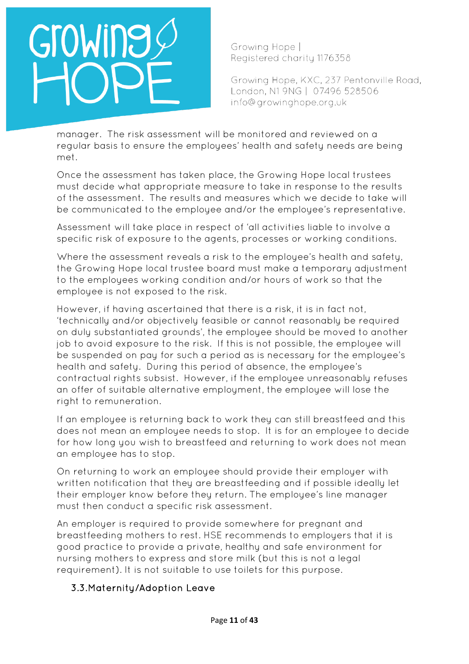Growing Hope | Registered charity 1176358

Growing Hope, KXC, 237 Pentonville Road, London, N1 9NG | 07496 528506 info@growinghope.org.uk

manager. The risk assessment will be monitored and reviewed on a regular basis to ensure the employees' health and safety needs are being met.

Once the assessment has taken place, the Growing Hope local trustees must decide what appropriate measure to take in response to the results of the assessment. The results and measures which we decide to take will be communicated to the employee and/or the employee's representative.

Assessment will take place in respect of 'all activities liable to involve a specific risk of exposure to the agents, processes or working conditions.

Where the assessment reveals a risk to the employee's health and safety, the Growing Hope local trustee board must make a temporary adjustment to the employees working condition and/or hours of work so that the employee is not exposed to the risk.

However, if having ascertained that there is a risk, it is in fact not, 'technically and/or objectively feasible or cannot reasonably be required on duly substantiated grounds', the employee should be moved to another job to avoid exposure to the risk. If this is not possible, the employee will be suspended on pay for such a period as is necessary for the employee's health and safety. During this period of absence, the employee's contractual rights subsist. However, if the employee unreasonably refuses an offer of suitable alternative employment, the employee will lose the right to remuneration.

If an employee is returning back to work they can still breastfeed and this does not mean an employee needs to stop. It is for an employee to decide for how long you wish to breastfeed and returning to work does not mean an employee has to stop.

On returning to work an employee should provide their employer with written notification that they are breastfeeding and if possible ideally let their employer know before they return. The employee's line manager must then conduct a specific risk assessment.

An employer is required to provide somewhere for pregnant and breastfeeding mothers to rest. HSE recommends to employers that it is good practice to provide a private, healthy and safe environment for nursing mothers to express and store milk (but this is not a legal requirement). It is not suitable to use toilets for this purpose.

## 3.3.Maternity/Adoption Leave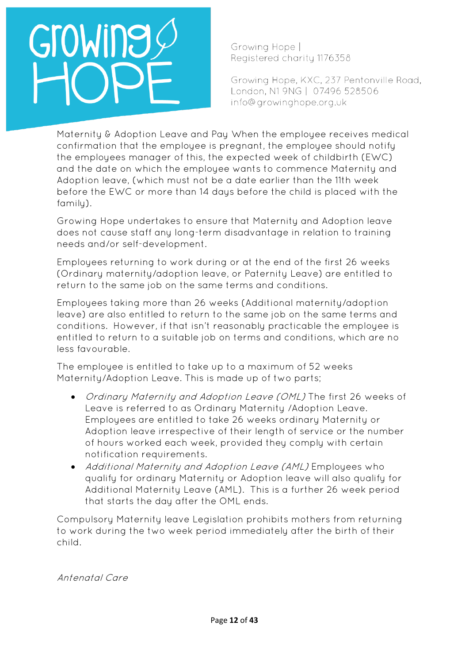Growing Hope | Registered charity 1176358

Growing Hope, KXC, 237 Pentonville Road, London, N1 9NG | 07496 528506 info@growinghope.org.uk

Maternity & Adoption Leave and Pay When the employee receives medical confirmation that the employee is pregnant, the employee should notify the employees manager of this, the expected week of childbirth (EWC) and the date on which the employee wants to commence Maternity and Adoption leave, (which must not be a date earlier than the 11th week before the EWC or more than 14 days before the child is placed with the family).

Growing Hope undertakes to ensure that Maternity and Adoption leave does not cause staff any long-term disadvantage in relation to training needs and/or self-development.

Employees returning to work during or at the end of the first 26 weeks (Ordinary maternity/adoption leave, or Paternity Leave) are entitled to return to the same job on the same terms and conditions.

Employees taking more than 26 weeks (Additional maternity/adoption leave) are also entitled to return to the same job on the same terms and conditions. However, if that isn't reasonably practicable the employee is entitled to return to a suitable job on terms and conditions, which are no less favourable.

The employee is entitled to take up to a maximum of 52 weeks Maternity/Adoption Leave. This is made up of two parts;

- Ordinary Maternity and Adoption Leave (OML) The first 26 weeks of Leave is referred to as Ordinary Maternity /Adoption Leave. Employees are entitled to take 26 weeks ordinary Maternity or Adoption leave irrespective of their length of service or the number of hours worked each week, provided they comply with certain notification requirements.
- Additional Maternity and Adoption Leave (AML) Employees who qualify for ordinary Maternity or Adoption leave will also qualify for Additional Maternity Leave (AML). This is a further 26 week period that starts the day after the OML ends.

Compulsory Maternity leave Legislation prohibits mothers from returning to work during the two week period immediately after the birth of their child.

Antenatal Care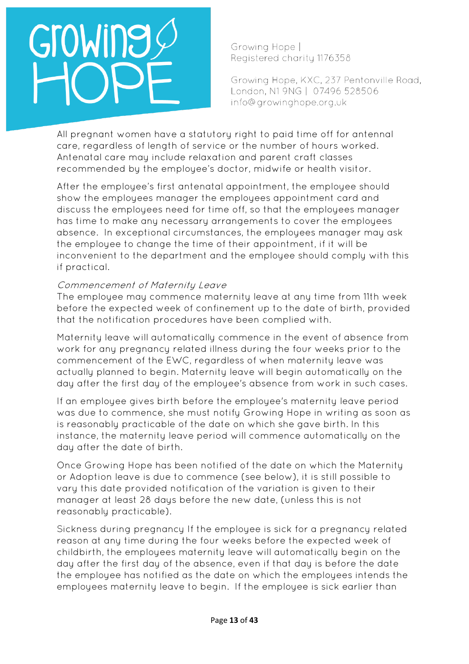Growing Hope | Registered charity 1176358

Growing Hope, KXC, 237 Pentonville Road, London, N1 9NG | 07496 528506 info@growinghope.org.uk

All pregnant women have a statutory right to paid time off for antennal care, regardless of length of service or the number of hours worked. Antenatal care may include relaxation and parent craft classes recommended by the employee's doctor, midwife or health visitor.

After the employee's first antenatal appointment, the employee should show the employees manager the employees appointment card and discuss the employees need for time off, so that the employees manager has time to make any necessary arrangements to cover the employees absence. In exceptional circumstances, the employees manager may ask the employee to change the time of their appointment, if it will be inconvenient to the department and the employee should comply with this if practical.

#### Commencement of Maternity Leave

The employee may commence maternity leave at any time from 11th week before the expected week of confinement up to the date of birth, provided that the notification procedures have been complied with.

Maternity leave will automatically commence in the event of absence from work for any pregnancy related illness during the four weeks prior to the commencement of the EWC, regardless of when maternity leave was actually planned to begin. Maternity leave will begin automatically on the day after the first day of the employee's absence from work in such cases.

If an employee gives birth before the employee's maternity leave period was due to commence, she must notify Growing Hope in writing as soon as is reasonably practicable of the date on which she gave birth. In this instance, the maternity leave period will commence automatically on the day after the date of birth.

Once Growing Hope has been notified of the date on which the Maternity or Adoption leave is due to commence (see below), it is still possible to vary this date provided notification of the variation is given to their manager at least 28 days before the new date, (unless this is not reasonably practicable).

Sickness during pregnancy If the employee is sick for a pregnancy related reason at any time during the four weeks before the expected week of childbirth, the employees maternity leave will automatically begin on the day after the first day of the absence, even if that day is before the date the employee has notified as the date on which the employees intends the employees maternity leave to begin. If the employee is sick earlier than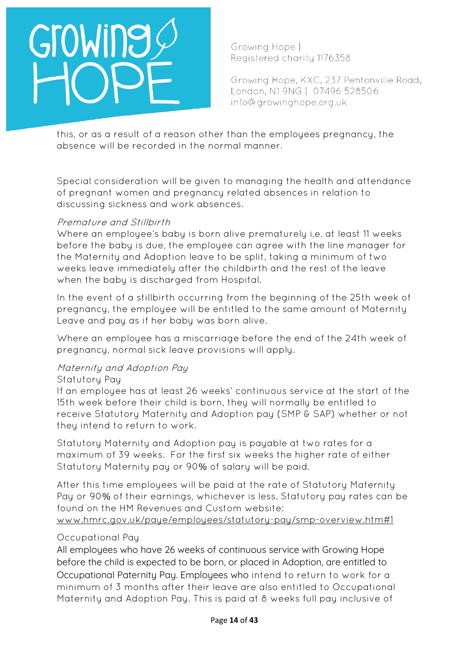Growing Hope | Registered charity 1176358

Growing Hope, KXC, 237 Pentonville Road, London, N1 9NG | 07496 528506 info@growinghope.org.uk

this, or as a result of a reason other than the employees pregnancy, the absence will be recorded in the normal manner.

Special consideration will be given to managing the health and attendance of pregnant women and pregnancy related absences in relation to discussing sickness and work absences.

#### Premature and Stillbirth

Where an employee's baby is born alive prematurely i.e. at least 11 weeks before the baby is due, the employee can agree with the line manager for the Maternity and Adoption leave to be split, taking a minimum of two weeks leave immediately after the childbirth and the rest of the leave when the baby is discharged from Hospital.

In the event of a stillbirth occurring from the beginning of the 25th week of pregnancy, the employee will be entitled to the same amount of Maternity Leave and pay as if her baby was born alive.

Where an employee has a miscarriage before the end of the 24th week of pregnancy, normal sick leave provisions will apply.

#### Maternity and Adoption Pay

#### Statutory Pay

If an employee has at least 26 weeks' continuous service at the start of the 15th week before their child is born, they will normally be entitled to receive Statutory Maternity and Adoption pay (SMP & SAP) whether or not they intend to return to work.

Statutory Maternity and Adoption pay is payable at two rates for a maximum of 39 weeks. For the first six weeks the higher rate of either Statutory Maternity pay or 90% of salary will be paid.

After this time employees will be paid at the rate of Statutory Maternity Pay or 90% of their earnings, whichever is less. Statutory pay rates can be found on the HM Revenues and Custom website:

#### [www.hmrc.gov.uk/paye/employees/statutory-pay/smp-overview.htm#1](http://www.hmrc.gov.uk/paye/employees/statutory-pay/smp-overview.htm#1)

#### Occupational Pay

All employees who have 26 weeks of continuous service with Growing Hope before the child is expected to be born, or placed in Adoption, are entitled to Occupational Paternity Pay. Employees who intend to return to work for a minimum of 3 months after their leave are also entitled to Occupational Maternity and Adoption Pay. This is paid at 8 weeks full pay inclusive of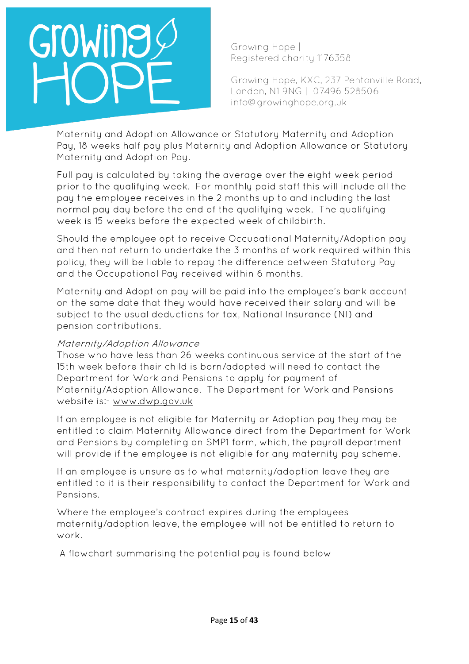Growing Hope | Registered charity 1176358

Growing Hope, KXC, 237 Pentonville Road, London, N1 9NG | 07496 528506 info@growinghope.org.uk

Maternity and Adoption Allowance or Statutory Maternity and Adoption Pay, 18 weeks half pay plus Maternity and Adoption Allowance or Statutory Maternity and Adoption Pay.

Full pay is calculated by taking the average over the eight week period prior to the qualifying week. For monthly paid staff this will include all the pay the employee receives in the 2 months up to and including the last normal pay day before the end of the qualifying week. The qualifying week is 15 weeks before the expected week of childbirth.

Should the employee opt to receive Occupational Maternity/Adoption pay and then not return to undertake the 3 months of work required within this policy, they will be liable to repay the difference between Statutory Pay and the Occupational Pay received within 6 months.

Maternity and Adoption pay will be paid into the employee's bank account on the same date that they would have received their salary and will be subject to the usual deductions for tax, National Insurance (NI) and pension contributions.

#### Maternity/Adoption Allowance

Those who have less than 26 weeks continuous service at the start of the 15th week before their child is born/adopted will need to contact the Department for Work and Pensions to apply for payment of Maternity/Adoption Allowance. The Department for Work and Pensions website is:- [www.dwp.gov.uk](http://www.dwp.gov.uk/) 

If an employee is not eligible for Maternity or Adoption pay they may be entitled to claim Maternity Allowance direct from the Department for Work and Pensions by completing an SMP1 form, which, the payroll department will provide if the employee is not eligible for any maternity pay scheme.

If an employee is unsure as to what maternity/adoption leave they are entitled to it is their responsibility to contact the Department for Work and Pensions.

Where the employee's contract expires during the employees maternity/adoption leave, the employee will not be entitled to return to work.

A flowchart summarising the potential pay is found below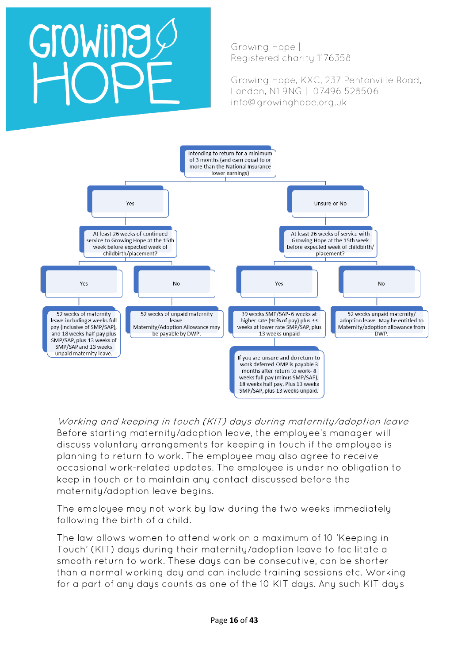# GroWing

Growing Hope | Registered charity 1176358

Growing Hope, KXC, 237 Pentonville Road, London, N1 9NG | 07496 528506 info@growinghope.org.uk



Working and keeping in touch (KIT) days during maternity/adoption leave Before starting maternity/adoption leave, the employee's manager will discuss voluntary arrangements for keeping in touch if the employee is planning to return to work. The employee may also agree to receive occasional work-related updates. The employee is under no obligation to keep in touch or to maintain any contact discussed before the maternity/adoption leave begins.

The employee may not work by law during the two weeks immediately following the birth of a child.

The law allows women to attend work on a maximum of 10 'Keeping in Touch' (KIT) days during their maternity/adoption leave to facilitate a smooth return to work. These days can be consecutive, can be shorter than a normal working day and can include training sessions etc. Working for a part of any days counts as one of the 10 KIT days. Any such KIT days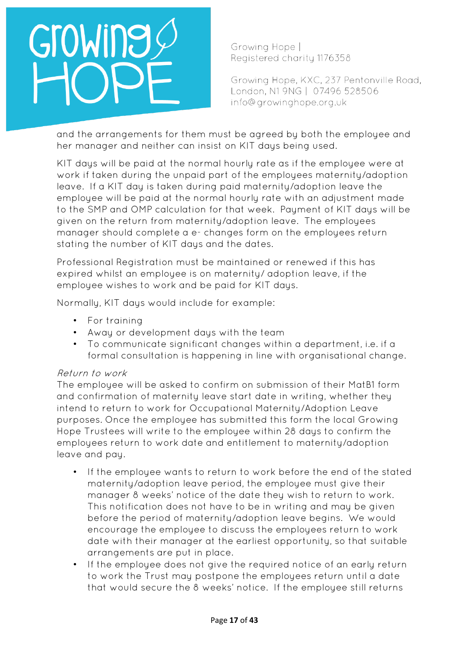Growing Hope | Registered charity 1176358

Growing Hope, KXC, 237 Pentonville Road, London, N1 9NG | 07496 528506 info@growinghope.org.uk

and the arrangements for them must be agreed by both the employee and her manager and neither can insist on KIT days being used.

KIT days will be paid at the normal hourly rate as if the employee were at work if taken during the unpaid part of the employees maternity/adoption leave. If a KIT day is taken during paid maternity/adoption leave the employee will be paid at the normal hourly rate with an adjustment made to the SMP and OMP calculation for that week. Payment of KIT days will be given on the return from maternity/adoption leave. The employees manager should complete a e- changes form on the employees return stating the number of KIT days and the dates.

Professional Registration must be maintained or renewed if this has expired whilst an employee is on maternity/ adoption leave, if the employee wishes to work and be paid for KIT days.

Normally, KIT days would include for example:

- For training
- Away or development days with the team
- To communicate significant changes within a department, i.e. if a formal consultation is happening in line with organisational change.

#### Return to work

The employee will be asked to confirm on submission of their MatB1 form and confirmation of maternity leave start date in writing, whether they intend to return to work for Occupational Maternity/Adoption Leave purposes. Once the employee has submitted this form the local Growing Hope Trustees will write to the employee within 28 days to confirm the employees return to work date and entitlement to maternity/adoption leave and pay.

- If the employee wants to return to work before the end of the stated maternity/adoption leave period, the employee must give their manager 8 weeks' notice of the date they wish to return to work. This notification does not have to be in writing and may be given before the period of maternity/adoption leave begins. We would encourage the employee to discuss the employees return to work date with their manager at the earliest opportunity, so that suitable arrangements are put in place.
- If the employee does not give the required notice of an early return to work the Trust may postpone the employees return until a date that would secure the 8 weeks' notice. If the employee still returns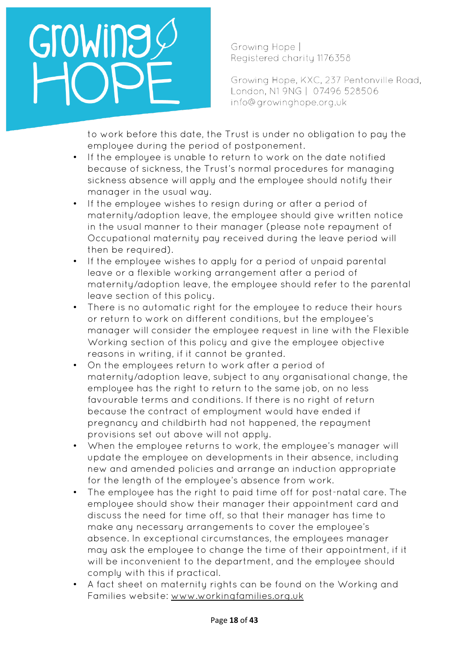Growing Hope | Registered charity 1176358

Growing Hope, KXC, 237 Pentonville Road, London, N1 9NG | 07496 528506 info@growinghope.org.uk

to work before this date, the Trust is under no obligation to pay the employee during the period of postponement.

- If the employee is unable to return to work on the date notified because of sickness, the Trust's normal procedures for managing sickness absence will apply and the employee should notify their manager in the usual way.
- If the employee wishes to resign during or after a period of maternity/adoption leave, the employee should give written notice in the usual manner to their manager (please note repayment of Occupational maternity pay received during the leave period will then be required).
- If the employee wishes to apply for a period of unpaid parental leave or a flexible working arrangement after a period of maternity/adoption leave, the employee should refer to the parental leave section of this policy.
- There is no automatic right for the employee to reduce their hours or return to work on different conditions, but the employee's manager will consider the employee request in line with the Flexible Working section of this policy and give the employee objective reasons in writing, if it cannot be granted.
- On the employees return to work after a period of maternity/adoption leave, subject to any organisational change, the employee has the right to return to the same job, on no less favourable terms and conditions. If there is no right of return because the contract of employment would have ended if pregnancy and childbirth had not happened, the repayment provisions set out above will not apply.
- When the employee returns to work, the employee's manager will update the employee on developments in their absence, including new and amended policies and arrange an induction appropriate for the length of the employee's absence from work.
- The employee has the right to paid time off for post-natal care. The employee should show their manager their appointment card and discuss the need for time off, so that their manager has time to make any necessary arrangements to cover the employee's absence. In exceptional circumstances, the employees manager may ask the employee to change the time of their appointment, if it will be inconvenient to the department, and the employee should comply with this if practical.
- A fact sheet on maternity rights can be found on the Working and Families website: [www.workingfamilies.org.uk](http://www.workingfamilies.org.uk/)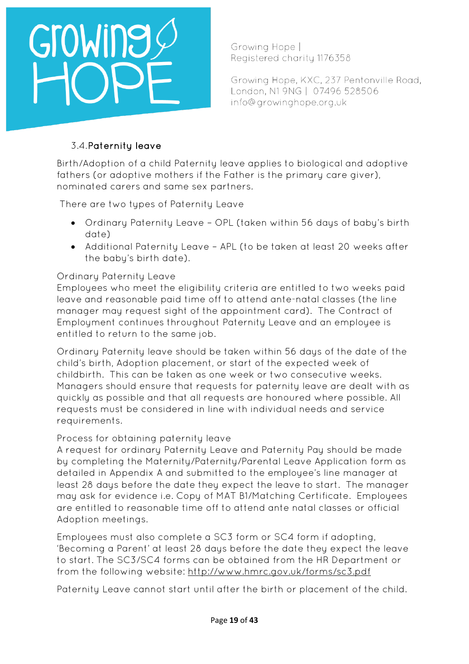

Growing Hope | Registered charity 1176358

Growing Hope, KXC, 237 Pentonville Road, London, N1 9NG | 07496 528506 info@growinghope.org.uk

### 3.4.Paternity leave

Birth/Adoption of a child Paternity leave applies to biological and adoptive fathers (or adoptive mothers if the Father is the primary care giver), nominated carers and same sex partners.

There are two types of Paternity Leave

- Ordinary Paternity Leave OPL (taken within 56 days of baby's birth date)
- Additional Paternity Leave APL (to be taken at least 20 weeks after the baby's birth date).

#### Ordinary Paternity Leave

Employees who meet the eligibility criteria are entitled to two weeks paid leave and reasonable paid time off to attend ante-natal classes (the line manager may request sight of the appointment card). The Contract of Employment continues throughout Paternity Leave and an employee is entitled to return to the same job.

Ordinary Paternity leave should be taken within 56 days of the date of the child's birth, Adoption placement, or start of the expected week of childbirth. This can be taken as one week or two consecutive weeks. Managers should ensure that requests for paternity leave are dealt with as quickly as possible and that all requests are honoured where possible. All requests must be considered in line with individual needs and service requirements.

#### Process for obtaining paternity leave

A request for ordinary Paternity Leave and Paternity Pay should be made by completing the Maternity/Paternity/Parental Leave Application form as detailed in Appendix A and submitted to the employee's line manager at least 28 days before the date they expect the leave to start. The manager may ask for evidence i.e. Copy of MAT B1/Matching Certificate. Employees are entitled to reasonable time off to attend ante natal classes or official Adoption meetings.

Employees must also complete a SC3 form or SC4 form if adopting, 'Becoming a Parent' at least 28 days before the date they expect the leave to start. The SC3/SC4 forms can be obtained from the HR Department or from the following website: <http://www.hmrc.gov.uk/forms/sc3.pdf>

Paternity Leave cannot start until after the birth or placement of the child.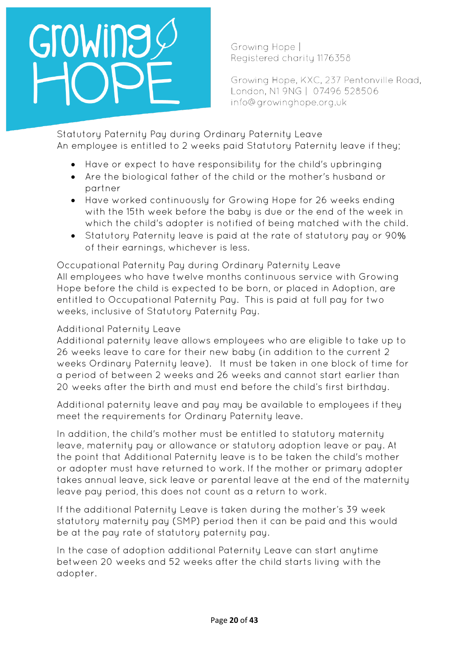Growing Hope | Registered charity 1176358

Growing Hope, KXC, 237 Pentonville Road, London, N1 9NG | 07496 528506 info@growinghope.org.uk

Statutory Paternity Pay during Ordinary Paternity Leave An employee is entitled to 2 weeks paid Statutory Paternity leave if they;

- Have or expect to have responsibility for the child's upbringing
- Are the biological father of the child or the mother's husband or partner
- Have worked continuously for Growing Hope for 26 weeks ending with the 15th week before the baby is due or the end of the week in which the child's adopter is notified of being matched with the child.
- Statutory Paternity leave is paid at the rate of statutory pay or 90% of their earnings, whichever is less.

Occupational Paternity Pay during Ordinary Paternity Leave All employees who have twelve months continuous service with Growing Hope before the child is expected to be born, or placed in Adoption, are entitled to Occupational Paternity Pay. This is paid at full pay for two weeks, inclusive of Statutory Paternity Pay.

## Additional Paternity Leave

Additional paternity leave allows employees who are eligible to take up to 26 weeks leave to care for their new baby (in addition to the current 2 weeks Ordinary Paternity leave). It must be taken in one block of time for a period of between 2 weeks and 26 weeks and cannot start earlier than 20 weeks after the birth and must end before the child's first birthday.

Additional paternity leave and pay may be available to employees if they meet the requirements for Ordinary Paternity leave.

In addition, the child's mother must be entitled to statutory maternity leave, maternity pay or allowance or statutory adoption leave or pay. At the point that Additional Paternity leave is to be taken the child's mother or adopter must have returned to work. If the mother or primary adopter takes annual leave, sick leave or parental leave at the end of the maternity leave pay period, this does not count as a return to work.

If the additional Paternity Leave is taken during the mother's 39 week statutory maternity pay (SMP) period then it can be paid and this would be at the pay rate of statutory paternity pay.

In the case of adoption additional Paternity Leave can start anytime between 20 weeks and 52 weeks after the child starts living with the adopter.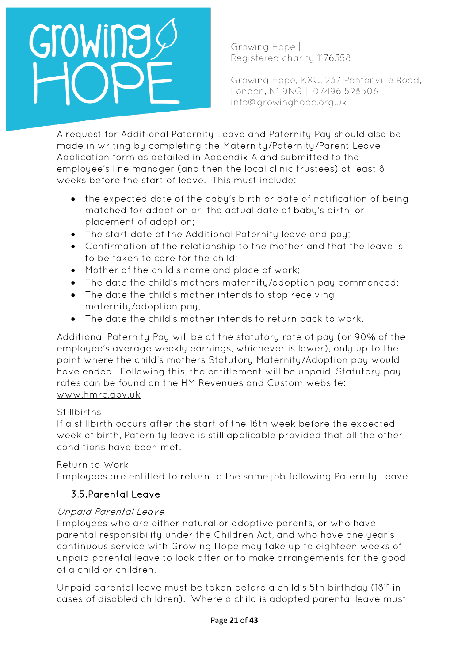Growing Hope | Registered charity 1176358

Growing Hope, KXC, 237 Pentonville Road, London, N1 9NG | 07496 528506 info@growinghope.org.uk

A request for Additional Paternity Leave and Paternity Pay should also be made in writing by completing the Maternity/Paternity/Parent Leave Application form as detailed in Appendix A and submitted to the employee's line manager (and then the local clinic trustees) at least 8 weeks before the start of leave. This must include:

- the expected date of the baby's birth or date of notification of being matched for adoption or the actual date of baby's birth, or placement of adoption;
- The start date of the Additional Paternity leave and pay;
- Confirmation of the relationship to the mother and that the leave is to be taken to care for the child;
- Mother of the child's name and place of work;
- The date the child's mothers maternity/adoption pay commenced;
- The date the child's mother intends to stop receiving maternity/adoption pay;
- The date the child's mother intends to return back to work.

Additional Paternity Pay will be at the statutory rate of pay (or 90% of the employee's average weekly earnings, whichever is lower), only up to the point where the child's mothers Statutory Maternity/Adoption pay would have ended. Following this, the entitlement will be unpaid. Statutory pay rates can be found on the HM Revenues and Custom website: [www.hmrc.gov.uk](http://www.hmrc.gov.uk/)

### **Stillbirths**

If a stillbirth occurs after the start of the 16th week before the expected week of birth, Paternity leave is still applicable provided that all the other conditions have been met.

### Return to Work

Employees are entitled to return to the same job following Paternity Leave.

## 3.5.Parental Leave

### Unpaid Parental Leave

Employees who are either natural or adoptive parents, or who have parental responsibility under the Children Act, and who have one year's continuous service with Growing Hope may take up to eighteen weeks of unpaid parental leave to look after or to make arrangements for the good of a child or children.

Unpaid parental leave must be taken before a child's 5th birthday (18<sup>th</sup> in cases of disabled children). Where a child is adopted parental leave must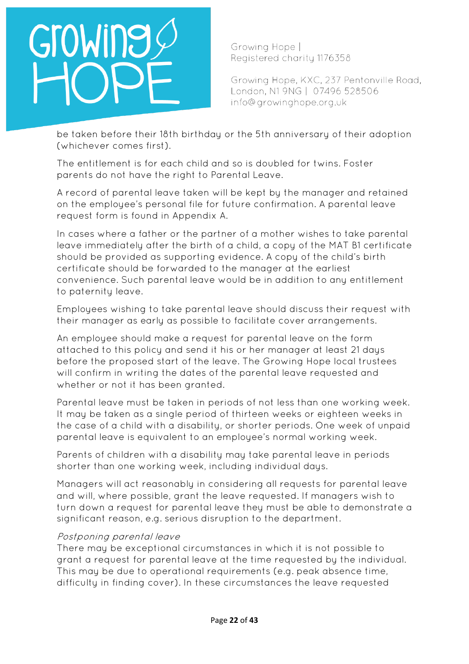Growing Hope | Registered charity 1176358

Growing Hope, KXC, 237 Pentonville Road, London, N1 9NG | 07496 528506 info@growinghope.org.uk

be taken before their 18th birthday or the 5th anniversary of their adoption (whichever comes first).

The entitlement is for each child and so is doubled for twins. Foster parents do not have the right to Parental Leave.

A record of parental leave taken will be kept by the manager and retained on the employee's personal file for future confirmation. A parental leave request form is found in Appendix A.

In cases where a father or the partner of a mother wishes to take parental leave immediately after the birth of a child, a copy of the MAT B1 certificate should be provided as supporting evidence. A copy of the child's birth certificate should be forwarded to the manager at the earliest convenience. Such parental leave would be in addition to any entitlement to paternity leave.

Employees wishing to take parental leave should discuss their request with their manager as early as possible to facilitate cover arrangements.

An employee should make a request for parental leave on the form attached to this policy and send it his or her manager at least 21 days before the proposed start of the leave. The Growing Hope local trustees will confirm in writing the dates of the parental leave requested and whether or not it has been granted.

Parental leave must be taken in periods of not less than one working week. It may be taken as a single period of thirteen weeks or eighteen weeks in the case of a child with a disability, or shorter periods. One week of unpaid parental leave is equivalent to an employee's normal working week.

Parents of children with a disability may take parental leave in periods shorter than one working week, including individual days.

Managers will act reasonably in considering all requests for parental leave and will, where possible, grant the leave requested. If managers wish to turn down a request for parental leave they must be able to demonstrate a significant reason, e.g. serious disruption to the department.

#### Postponing parental leave

There may be exceptional circumstances in which it is not possible to grant a request for parental leave at the time requested by the individual. This may be due to operational requirements (e.g. peak absence time, difficulty in finding cover). In these circumstances the leave requested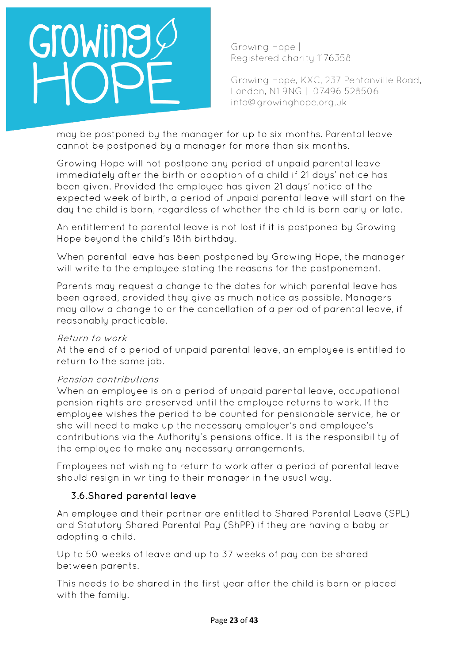Growing Hope | Registered charity 1176358

Growing Hope, KXC, 237 Pentonville Road, London, N1 9NG | 07496 528506 info@growinghope.org.uk

may be postponed by the manager for up to six months. Parental leave cannot be postponed by a manager for more than six months.

Growing Hope will not postpone any period of unpaid parental leave immediately after the birth or adoption of a child if 21 days' notice has been given. Provided the employee has given 21 days' notice of the expected week of birth, a period of unpaid parental leave will start on the day the child is born, regardless of whether the child is born early or late.

An entitlement to parental leave is not lost if it is postponed by Growing Hope beyond the child's 18th birthday.

When parental leave has been postponed by Growing Hope, the manager will write to the employee stating the reasons for the postponement.

Parents may request a change to the dates for which parental leave has been agreed, provided they give as much notice as possible. Managers may allow a change to or the cancellation of a period of parental leave, if reasonably practicable.

#### Return to work

At the end of a period of unpaid parental leave, an employee is entitled to return to the same job.

### Pension contributions

When an employee is on a period of unpaid parental leave, occupational pension rights are preserved until the employee returns to work. If the employee wishes the period to be counted for pensionable service, he or she will need to make up the necessary employer's and employee's contributions via the Authority's pensions office. It is the responsibility of the employee to make any necessary arrangements.

Employees not wishing to return to work after a period of parental leave should resign in writing to their manager in the usual way.

### 3.6.Shared parental leave

An employee and their partner are entitled to Shared Parental Leave (SPL) and Statutory Shared Parental Pay (ShPP) if they are having a baby or adopting a child.

Up to 50 weeks of leave and up to 37 weeks of pay can be shared between parents.

This needs to be shared in the first year after the child is born or placed with the family.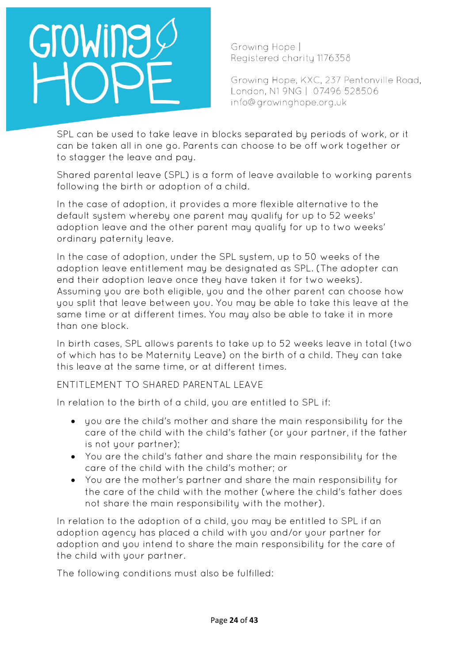# OWING

Growing Hope | Registered charity 1176358

Growing Hope, KXC, 237 Pentonville Road, London, N1 9NG | 07496 528506 info@growinghope.org.uk

SPL can be used to take leave in blocks separated by periods of work, or it can be taken all in one go. Parents can choose to be off work together or to stagger the leave and pay.

Shared parental leave (SPL) is a form of leave available to working parents following the birth or adoption of a child.

In the case of adoption, it provides a more flexible alternative to the default system whereby one parent may qualify for up to 52 weeks' adoption leave and the other parent may qualify for up to two weeks' ordinary paternity leave.

In the case of adoption, under the SPL system, up to 50 weeks of the adoption leave entitlement may be designated as SPL. (The adopter can end their adoption leave once they have taken it for two weeks). Assuming you are both eligible, you and the other parent can choose how you split that leave between you. You may be able to take this leave at the same time or at different times. You may also be able to take it in more than one block.

In birth cases, SPL allows parents to take up to 52 weeks leave in total (two of which has to be Maternity Leave) on the birth of a child. They can take this leave at the same time, or at different times.

ENTITLEMENT TO SHARED PARENTAL LEAVE

In relation to the birth of a child, you are entitled to SPL if:

- you are the child's mother and share the main responsibility for the care of the child with the child's father (or your partner, if the father is not your partner);
- You are the child's father and share the main responsibility for the care of the child with the child's mother; or
- You are the mother's partner and share the main responsibility for the care of the child with the mother (where the child's father does not share the main responsibility with the mother).

In relation to the adoption of a child, you may be entitled to SPL if an adoption agency has placed a child with you and/or your partner for adoption and you intend to share the main responsibility for the care of the child with your partner.

The following conditions must also be fulfilled: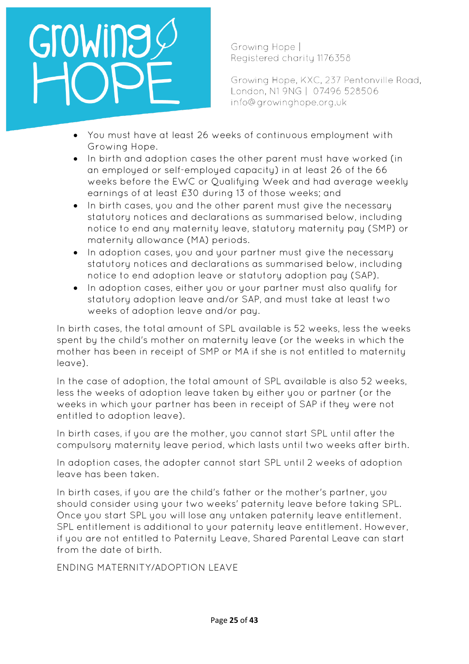# OWINE

Growing Hope | Registered charity 1176358

Growing Hope, KXC, 237 Pentonville Road, London, N1 9NG | 07496 528506 info@growinghope.org.uk

- You must have at least 26 weeks of continuous employment with Growing Hope.
- In birth and adoption cases the other parent must have worked (in an employed or self-employed capacity) in at least 26 of the 66 weeks before the EWC or Qualifying Week and had average weekly earnings of at least £30 during 13 of those weeks; and
- In birth cases, you and the other parent must give the necessary statutory notices and declarations as summarised below, including notice to end any maternity leave, statutory maternity pay (SMP) or maternity allowance (MA) periods.
- In adoption cases, you and your partner must give the necessary statutory notices and declarations as summarised below, including notice to end adoption leave or statutory adoption pay (SAP).
- In adoption cases, either you or your partner must also qualify for statutory adoption leave and/or SAP, and must take at least two weeks of adoption leave and/or pay.

In birth cases, the total amount of SPL available is 52 weeks, less the weeks spent by the child's mother on maternity leave (or the weeks in which the mother has been in receipt of SMP or MA if she is not entitled to maternity leave).

In the case of adoption, the total amount of SPL available is also 52 weeks, less the weeks of adoption leave taken by either you or partner (or the weeks in which your partner has been in receipt of SAP if they were not entitled to adoption leave).

In birth cases, if you are the mother, you cannot start SPL until after the compulsory maternity leave period, which lasts until two weeks after birth.

In adoption cases, the adopter cannot start SPL until 2 weeks of adoption leave has been taken.

In birth cases, if you are the child's father or the mother's partner, you should consider using your two weeks' paternity leave before taking SPL. Once you start SPL you will lose any untaken paternity leave entitlement. SPL entitlement is additional to your paternity leave entitlement. However, if you are not entitled to Paternity Leave, Shared Parental Leave can start from the date of birth.

ENDING MATERNITY/ADOPTION LEAVE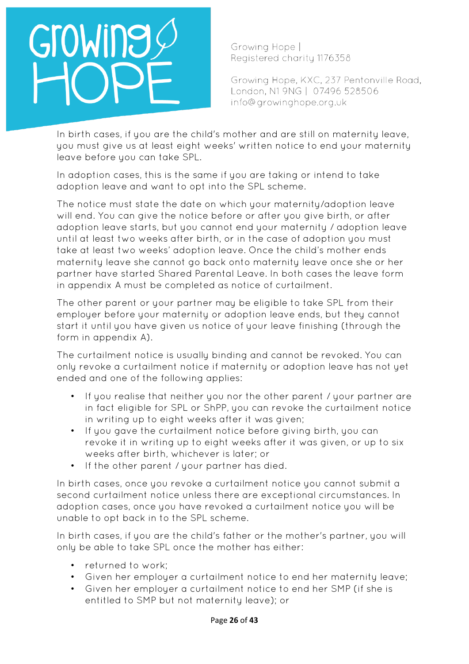Growing Hope | Registered charity 1176358

Growing Hope, KXC, 237 Pentonville Road, London, N1 9NG | 07496 528506 info@growinghope.org.uk

In birth cases, if you are the child's mother and are still on maternity leave, you must give us at least eight weeks' written notice to end your maternity leave before you can take SPL.

In adoption cases, this is the same if you are taking or intend to take adoption leave and want to opt into the SPL scheme.

The notice must state the date on which your maternity/adoption leave will end. You can give the notice before or after you give birth, or after adoption leave starts, but you cannot end your maternity / adoption leave until at least two weeks after birth, or in the case of adoption you must take at least two weeks' adoption leave. Once the child's mother ends maternity leave she cannot go back onto maternity leave once she or her partner have started Shared Parental Leave. In both cases the leave form in appendix A must be completed as notice of curtailment.

The other parent or your partner may be eligible to take SPL from their employer before your maternity or adoption leave ends, but they cannot start it until you have given us notice of your leave finishing (through the form in appendix A).

The curtailment notice is usually binding and cannot be revoked. You can only revoke a curtailment notice if maternity or adoption leave has not yet ended and one of the following applies:

- If you realise that neither you nor the other parent / your partner are in fact eligible for SPL or ShPP, you can revoke the curtailment notice in writing up to eight weeks after it was given;
- If you gave the curtailment notice before giving birth, you can revoke it in writing up to eight weeks after it was given, or up to six weeks after birth, whichever is later; or
- If the other parent / your partner has died.

In birth cases, once you revoke a curtailment notice you cannot submit a second curtailment notice unless there are exceptional circumstances. In adoption cases, once you have revoked a curtailment notice you will be unable to opt back in to the SPL scheme.

In birth cases, if you are the child's father or the mother's partner, you will only be able to take SPL once the mother has either:

- returned to work;
- Given her emplouer a curtailment notice to end her maternity leave;
- Given her employer a curtailment notice to end her SMP (if she is entitled to SMP but not maternity leave); or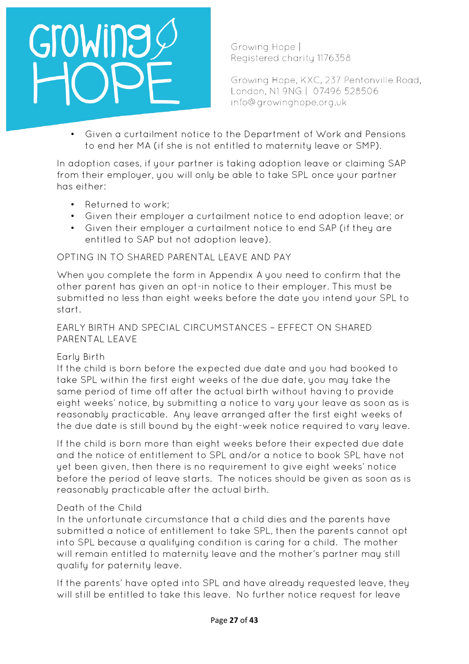

Growing Hope | Registered charity 1176358

Growing Hope, KXC, 237 Pentonville Road, London, N1 9NG | 07496 528506 info@growinghope.org.uk

• Given a curtailment notice to the Department of Work and Pensions to end her MA (if she is not entitled to maternity leave or SMP).

In adoption cases, if your partner is taking adoption leave or claiming SAP from their employer, you will only be able to take SPL once your partner has either:

- Returned to work;
- Given their employer a curtailment notice to end adoption leave; or
- Given their employer a curtailment notice to end SAP (if they are entitled to SAP but not adoption leave).

#### OPTING IN TO SHARED PARENTAL LEAVE AND PAY

When you complete the form in Appendix A you need to confirm that the other parent has given an opt-in notice to their employer. This must be submitted no less than eight weeks before the date you intend your SPL to start.

#### EARLY BIRTH AND SPECIAL CIRCUMSTANCES – EFFECT ON SHARED PARENTAL LEAVE

#### Early Birth

If the child is born before the expected due date and you had booked to take SPL within the first eight weeks of the due date, you may take the same period of time off after the actual birth without having to provide eight weeks' notice, by submitting a notice to vary your leave as soon as is reasonably practicable. Any leave arranged after the first eight weeks of the due date is still bound by the eight-week notice required to vary leave.

If the child is born more than eight weeks before their expected due date and the notice of entitlement to SPL and/or a notice to book SPL have not yet been given, then there is no requirement to give eight weeks' notice before the period of leave starts. The notices should be given as soon as is reasonably practicable after the actual birth.

#### Death of the Child

In the unfortunate circumstance that a child dies and the parents have submitted a notice of entitlement to take SPL, then the parents cannot opt into SPL because a qualifying condition is caring for a child. The mother will remain entitled to maternity leave and the mother's partner may still qualify for paternity leave.

If the parents' have opted into SPL and have already requested leave, they will still be entitled to take this leave. No further notice request for leave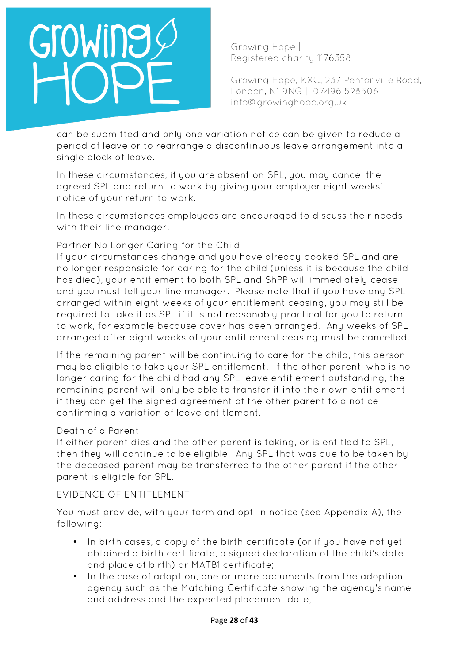Growing Hope | Registered charity 1176358

Growing Hope, KXC, 237 Pentonville Road, London, N1 9NG | 07496 528506 info@growinghope.org.uk

can be submitted and only one variation notice can be given to reduce a period of leave or to rearrange a discontinuous leave arrangement into a single block of leave.

In these circumstances, if you are absent on SPL, you may cancel the agreed SPL and return to work by giving your employer eight weeks' notice of your return to work.

In these circumstances employees are encouraged to discuss their needs with their line manager.

### Partner No Longer Caring for the Child

If your circumstances change and you have already booked SPL and are no longer responsible for caring for the child (unless it is because the child has died), your entitlement to both SPL and ShPP will immediately cease and you must tell your line manager. Please note that if you have any SPL arranged within eight weeks of your entitlement ceasing, you may still be required to take it as SPL if it is not reasonably practical for you to return to work, for example because cover has been arranged. Any weeks of SPL arranged after eight weeks of your entitlement ceasing must be cancelled.

If the remaining parent will be continuing to care for the child, this person may be eligible to take your SPL entitlement. If the other parent, who is no longer caring for the child had any SPL leave entitlement outstanding, the remaining parent will only be able to transfer it into their own entitlement if they can get the signed agreement of the other parent to a notice confirming a variation of leave entitlement.

#### Death of a Parent

If either parent dies and the other parent is taking, or is entitled to SPL, then they will continue to be eligible. Any SPL that was due to be taken by the deceased parent may be transferred to the other parent if the other parent is eligible for SPL.

#### EVIDENCE OF ENTITLEMENT

You must provide, with your form and opt-in notice (see Appendix A), the following:

- In birth cases, a copy of the birth certificate (or if you have not yet obtained a birth certificate, a signed declaration of the child's date and place of birth) or MATB1 certificate;
- In the case of adoption, one or more documents from the adoption agency such as the Matching Certificate showing the agency's name and address and the expected placement date;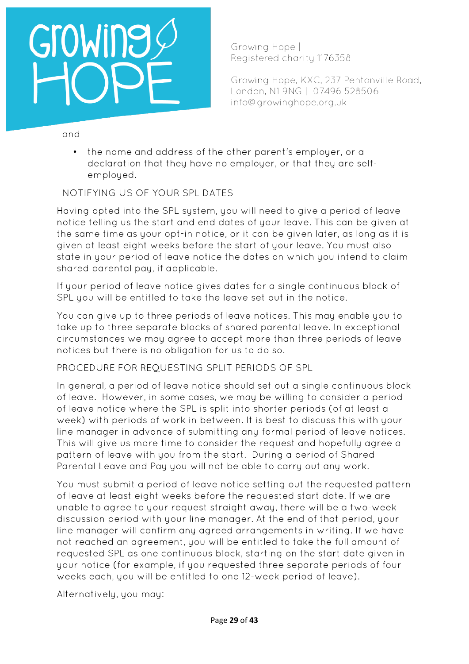# GroWine

Growing Hope | Registered charity 1176358

Growing Hope, KXC, 237 Pentonville Road, London, N1 9NG | 07496 528506 info@growinghope.org.uk

and

• the name and address of the other parent's employer, or a declaration that they have no employer, or that they are selfemployed.

NOTIFYING US OF YOUR SPL DATES

Having opted into the SPL system, you will need to give a period of leave notice telling us the start and end dates of your leave. This can be given at the same time as your opt-in notice, or it can be given later, as long as it is given at least eight weeks before the start of your leave. You must also state in your period of leave notice the dates on which you intend to claim shared parental pay, if applicable.

If your period of leave notice gives dates for a single continuous block of SPL you will be entitled to take the leave set out in the notice.

You can give up to three periods of leave notices. This may enable you to take up to three separate blocks of shared parental leave. In exceptional circumstances we may agree to accept more than three periods of leave notices but there is no obligation for us to do so.

PROCEDURE FOR REQUESTING SPLIT PERIODS OF SPL

In general, a period of leave notice should set out a single continuous block of leave. However, in some cases, we may be willing to consider a period of leave notice where the SPL is split into shorter periods (of at least a week) with periods of work in between. It is best to discuss this with your line manager in advance of submitting any formal period of leave notices. This will give us more time to consider the request and hopefully agree a pattern of leave with you from the start. During a period of Shared Parental Leave and Pay you will not be able to carry out any work.

You must submit a period of leave notice setting out the requested pattern of leave at least eight weeks before the requested start date. If we are unable to agree to your request straight away, there will be a two-week discussion period with your line manager. At the end of that period, your line manager will confirm any agreed arrangements in writing. If we have not reached an agreement, you will be entitled to take the full amount of requested SPL as one continuous block, starting on the start date given in your notice (for example, if you requested three separate periods of four weeks each, you will be entitled to one 12-week period of leave).

Alternatively, you may: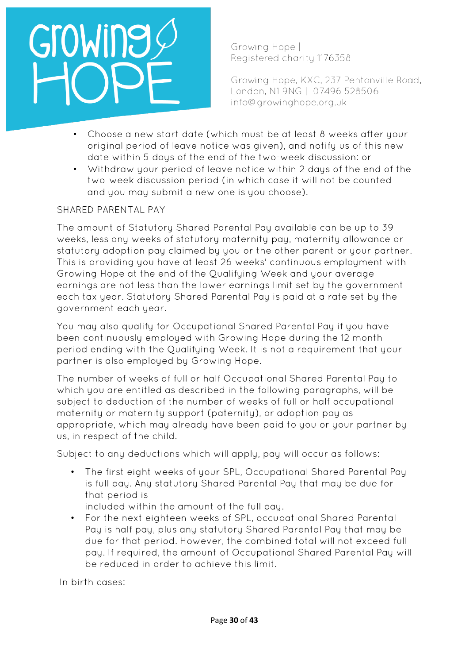Growing Hope | Registered charity 1176358

Growing Hope, KXC, 237 Pentonville Road, London, N1 9NG | 07496 528506 info@growinghope.org.uk

- Choose a new start date (which must be at least 8 weeks after your original period of leave notice was given), and notify us of this new date within 5 days of the end of the two-week discussion: or
- Withdraw your period of leave notice within 2 days of the end of the two-week discussion period (in which case it will not be counted and you may submit a new one is you choose).

#### SHARED PARENTAL PAY

The amount of Statutory Shared Parental Pay available can be up to 39 weeks, less any weeks of statutory maternity pay, maternity allowance or statutory adoption pay claimed by you or the other parent or your partner. This is providing you have at least 26 weeks' continuous employment with Growing Hope at the end of the Oualifuing Week and your average earnings are not less than the lower earnings limit set by the government each tax year. Statutory Shared Parental Pay is paid at a rate set by the government each year.

You may also qualify for Occupational Shared Parental Pay if you have been continuously employed with Growing Hope during the 12 month period ending with the Qualifying Week. It is not a requirement that your partner is also employed by Growing Hope.

The number of weeks of full or half Occupational Shared Parental Pay to which you are entitled as described in the following paragraphs, will be subject to deduction of the number of weeks of full or half occupational maternity or maternity support (paternity), or adoption pay as appropriate, which may already have been paid to you or your partner by us, in respect of the child.

Subject to any deductions which will apply, pay will occur as follows:

• The first eight weeks of your SPL, Occupational Shared Parental Pay is full pay. Any statutory Shared Parental Pay that may be due for that period is

included within the amount of the full pay.

• For the next eighteen weeks of SPL, occupational Shared Parental Pay is half pay, plus any statutory Shared Parental Pay that may be due for that period. However, the combined total will not exceed full pay. If required, the amount of Occupational Shared Parental Pay will be reduced in order to achieve this limit.

In birth cases: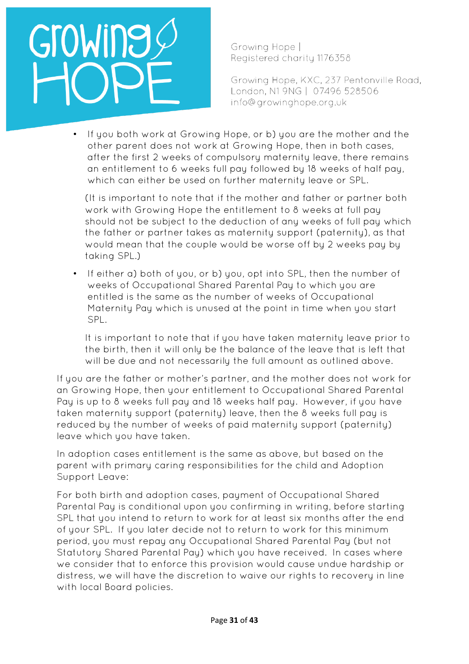

Growing Hope | Registered charity 1176358

Growing Hope, KXC, 237 Pentonville Road, London, N1 9NG | 07496 528506 info@growinghope.org.uk

• If you both work at Growing Hope, or b) you are the mother and the other parent does not work at Growing Hope, then in both cases, after the first 2 weeks of compulsory maternity leave, there remains an entitlement to 6 weeks full pay followed by 18 weeks of half pay, which can either be used on further maternity leave or SPL.

(It is important to note that if the mother and father or partner both work with Growing Hope the entitlement to 8 weeks at full pay should not be subject to the deduction of any weeks of full pay which the father or partner takes as maternity support (paternity), as that would mean that the couple would be worse off by 2 weeks pay by taking SPL.)

If either a) both of you, or b) you, opt into SPL, then the number of weeks of Occupational Shared Parental Pay to which you are entitled is the same as the number of weeks of Occupational Maternity Pay which is unused at the point in time when you start SPL.

It is important to note that if you have taken maternity leave prior to the birth, then it will only be the balance of the leave that is left that will be due and not necessarily the full amount as outlined above.

If you are the father or mother's partner, and the mother does not work for an Growing Hope, then your entitlement to Occupational Shared Parental Pay is up to 8 weeks full pay and 18 weeks half pay. However, if you have taken maternity support (paternity) leave, then the 8 weeks full pay is reduced by the number of weeks of paid maternity support (paternity) leave which you have taken.

In adoption cases entitlement is the same as above, but based on the parent with primary caring responsibilities for the child and Adoption Support Leave:

For both birth and adoption cases, payment of Occupational Shared Parental Pay is conditional upon you confirming in writing, before starting SPL that you intend to return to work for at least six months after the end of your SPL. If you later decide not to return to work for this minimum period, you must repay any Occupational Shared Parental Pay (but not Statutory Shared Parental Pay) which you have received. In cases where we consider that to enforce this provision would cause undue hardship or distress, we will have the discretion to waive our rights to recovery in line with local Board policies.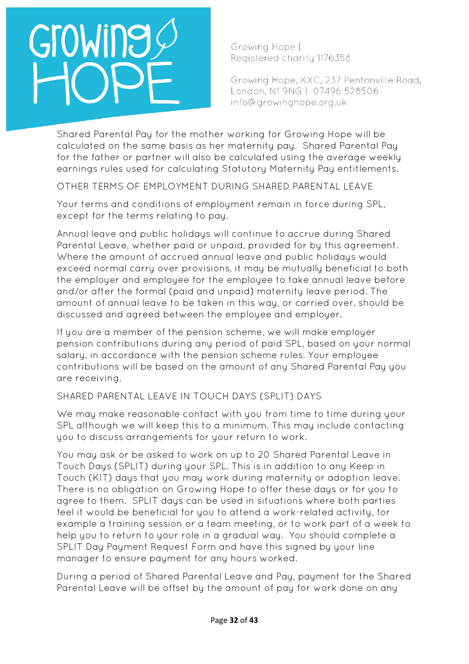Growing Hope | Registered charity 1176358

Growing Hope, KXC, 237 Pentonville Road, London, N1 9NG | 07496 528506 info@growinghope.org.uk

Shared Parental Pay for the mother working for Growing Hope will be calculated on the same basis as her maternity pay. Shared Parental Pay for the father or partner will also be calculated using the average weekly earnings rules used for calculating Statutory Maternity Pay entitlements.

OTHER TERMS OF EMPLOYMENT DURING SHARED PARENTAL LEAVE

Your terms and conditions of employment remain in force during SPL, except for the terms relating to pay.

Annual leave and public holidays will continue to accrue during Shared Parental Leave, whether paid or unpaid, provided for by this agreement. Where the amount of accrued annual leave and public holidays would exceed normal carry over provisions, it may be mutually beneficial to both the employer and employee for the employee to take annual leave before and/or after the formal (paid and unpaid) maternity leave period. The amount of annual leave to be taken in this way, or carried over, should be discussed and agreed between the employee and employer.

If you are a member of the pension scheme, we will make employer pension contributions during any period of paid SPL, based on your normal salary, in accordance with the pension scheme rules. Your employee contributions will be based on the amount of any Shared Parental Pay you are receiving.

## SHARED PARENTAL LEAVE IN TOUCH DAYS (SPLIT) DAYS

We may make reasonable contact with you from time to time during your SPL although we will keep this to a minimum. This may include contacting you to discuss arrangements for your return to work.

You may ask or be asked to work on up to 20 Shared Parental Leave in Touch Days (SPLIT) during your SPL. This is in addition to any Keep in Touch (KIT) days that you may work during maternity or adoption leave. There is no obligation on Growing Hope to offer these days or for you to agree to them. SPLIT days can be used in situations where both parties feel it would be beneficial for you to attend a work-related activity, for example a training session or a team meeting, or to work part of a week to help you to return to your role in a gradual way. You should complete a SPLIT Day Payment Request Form and have this signed by your line manager to ensure payment for any hours worked.

During a period of Shared Parental Leave and Pay, payment for the Shared Parental Leave will be offset by the amount of pay for work done on any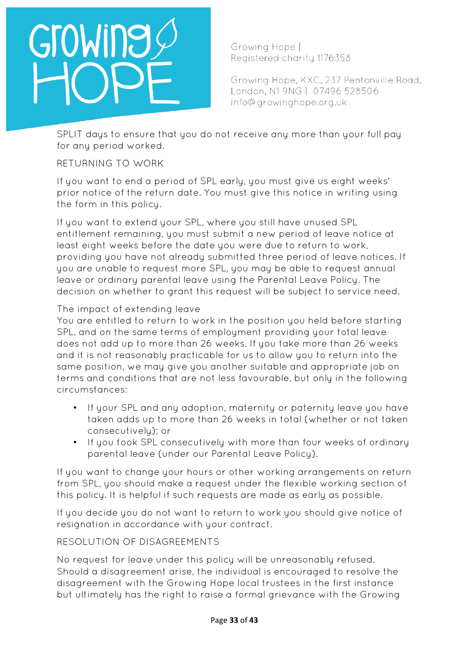Growing Hope | Registered charity 1176358

Growing Hope, KXC, 237 Pentonville Road, London, N1 9NG | 07496 528506 info@growinghope.org.uk

SPLIT days to ensure that you do not receive any more than your full pay for any period worked.

### RETURNING TO WORK

If you want to end a period of SPL early, you must give us eight weeks' prior notice of the return date. You must give this notice in writing using the form in this policy.

If you want to extend your SPL, where you still have unused SPL entitlement remaining, you must submit a new period of leave notice at least eight weeks before the date you were due to return to work, providing you have not already submitted three period of leave notices. If you are unable to request more SPL, you may be able to request annual leave or ordinary parental leave using the Parental Leave Policy. The decision on whether to grant this request will be subject to service need.

#### The impact of extending leave

You are entitled to return to work in the position you held before starting SPL, and on the same terms of employment providing your total leave does not add up to more than 26 weeks. If you take more than 26 weeks and it is not reasonably practicable for us to allow you to return into the same position, we may give you another suitable and appropriate job on terms and conditions that are not less favourable, but only in the following circumstances:

- If your SPL and any adoption, maternity or paternity leave you have taken adds up to more than 26 weeks in total (whether or not taken consecutively); or
- If you took SPL consecutively with more than four weeks of ordinary parental leave (under our Parental Leave Policy).

If you want to change your hours or other working arrangements on return from SPL, you should make a request under the flexible working section of this policy. It is helpful if such requests are made as early as possible.

If you decide you do not want to return to work you should give notice of resignation in accordance with your contract.

### RESOLUTION OF DISAGREEMENTS

No request for leave under this policy will be unreasonably refused. Should a disagreement arise, the individual is encouraged to resolve the disagreement with the Growing Hope local trustees in the first instance but ultimately has the right to raise a formal grievance with the Growing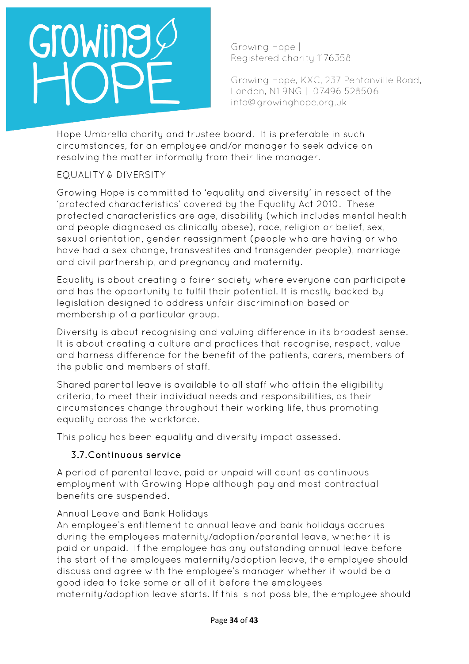Growing Hope | Registered charity 1176358

Growing Hope, KXC, 237 Pentonville Road, London, N1 9NG | 07496 528506 info@growinghope.org.uk

Hope Umbrella charity and trustee board. It is preferable in such circumstances, for an employee and/or manager to seek advice on resolving the matter informally from their line manager.

## EQUALITY & DIVERSITY

Growing Hope is committed to 'equality and diversity' in respect of the 'protected characteristics' covered by the Equality Act 2010. These protected characteristics are age, disability (which includes mental health and people diagnosed as clinically obese), race, religion or belief, sex, sexual orientation, gender reassignment (people who are having or who have had a sex change, transvestites and transgender people), marriage and civil partnership, and pregnancy and maternity.

Equality is about creating a fairer society where everyone can participate and has the opportunity to fulfil their potential. It is mostly backed by legislation designed to address unfair discrimination based on membership of a particular group.

Diversity is about recognising and valuing difference in its broadest sense. It is about creating a culture and practices that recognise, respect, value and harness difference for the benefit of the patients, carers, members of the public and members of staff.

Shared parental leave is available to all staff who attain the eligibility criteria, to meet their individual needs and responsibilities, as their circumstances change throughout their working life, thus promoting equality across the workforce.

This policy has been equality and diversity impact assessed.

## 3.7.Continuous service

A period of parental leave, paid or unpaid will count as continuous employment with Growing Hope although pay and most contractual benefits are suspended.

### Annual Leave and Bank Holidays

An employee's entitlement to annual leave and bank holidays accrues during the employees maternity/adoption/parental leave, whether it is paid or unpaid. If the employee has any outstanding annual leave before the start of the employees maternity/adoption leave, the employee should discuss and agree with the employee's manager whether it would be a good idea to take some or all of it before the employees maternity/adoption leave starts. If this is not possible, the employee should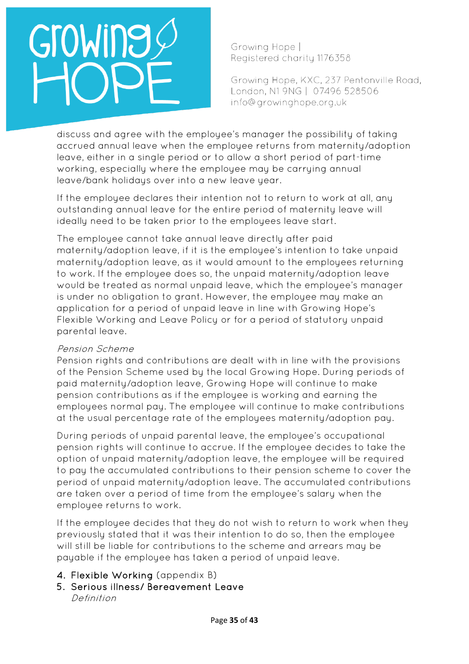Growing Hope | Registered charity 1176358

Growing Hope, KXC, 237 Pentonville Road, London, N1 9NG | 07496 528506 info@growinghope.org.uk

discuss and agree with the employee's manager the possibility of taking accrued annual leave when the employee returns from maternity/adoption leave, either in a single period or to allow a short period of part-time working, especially where the employee may be carrying annual leave/bank holidays over into a new leave year.

If the employee declares their intention not to return to work at all, any outstanding annual leave for the entire period of maternity leave will ideally need to be taken prior to the employees leave start.

The employee cannot take annual leave directly after paid maternity/adoption leave, if it is the employee's intention to take unpaid maternity/adoption leave, as it would amount to the employees returning to work. If the employee does so, the unpaid maternity/adoption leave would be treated as normal unpaid leave, which the employee's manager is under no obligation to grant. However, the employee may make an application for a period of unpaid leave in line with Growing Hope's Flexible Working and Leave Policy or for a period of statutory unpaid parental leave.

#### Pension Scheme

Pension rights and contributions are dealt with in line with the provisions of the Pension Scheme used by the local Growing Hope. During periods of paid maternity/adoption leave, Growing Hope will continue to make pension contributions as if the employee is working and earning the employees normal pay. The employee will continue to make contributions at the usual percentage rate of the employees maternity/adoption pay.

During periods of unpaid parental leave, the employee's occupational pension rights will continue to accrue. If the employee decides to take the option of unpaid maternity/adoption leave, the employee will be required to pay the accumulated contributions to their pension scheme to cover the period of unpaid maternity/adoption leave. The accumulated contributions are taken over a period of time from the employee's salary when the employee returns to work.

If the employee decides that they do not wish to return to work when they previously stated that it was their intention to do so, then the employee will still be liable for contributions to the scheme and arrears may be payable if the employee has taken a period of unpaid leave.

- 4. Flexible Working (appendix B)
- 5. Serious illness/ Bereavement Leave Definition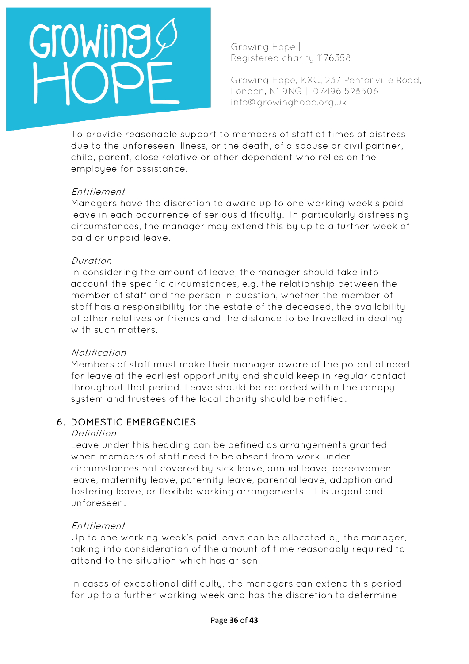# GroWing

Growing Hope | Registered charity 1176358

Growing Hope, KXC, 237 Pentonville Road, London, N1 9NG | 07496 528506 info@growinghope.org.uk

To provide reasonable support to members of staff at times of distress due to the unforeseen illness, or the death, of a spouse or civil partner, child, parent, close relative or other dependent who relies on the employee for assistance.

#### Entitlement

Managers have the discretion to award up to one working week's paid leave in each occurrence of serious difficulty. In particularly distressing circumstances, the manager may extend this by up to a further week of paid or unpaid leave.

#### Duration

In considering the amount of leave, the manager should take into account the specific circumstances, e.g. the relationship between the member of staff and the person in question, whether the member of staff has a responsibility for the estate of the deceased, the availability of other relatives or friends and the distance to be travelled in dealing with such matters.

#### Notification

Members of staff must make their manager aware of the potential need for leave at the earliest opportunity and should keep in regular contact throughout that period. Leave should be recorded within the canopy system and trustees of the local charity should be notified.

### 6. DOMESTIC EMERGENCIES

#### Definition

Leave under this heading can be defined as arrangements granted when members of staff need to be absent from work under circumstances not covered by sick leave, annual leave, bereavement leave, maternity leave, paternity leave, parental leave, adoption and fostering leave, or flexible working arrangements. It is urgent and unforeseen.

#### Entitlement

Up to one working week's paid leave can be allocated by the manager, taking into consideration of the amount of time reasonably required to attend to the situation which has arisen.

In cases of exceptional difficulty, the managers can extend this period for up to a further working week and has the discretion to determine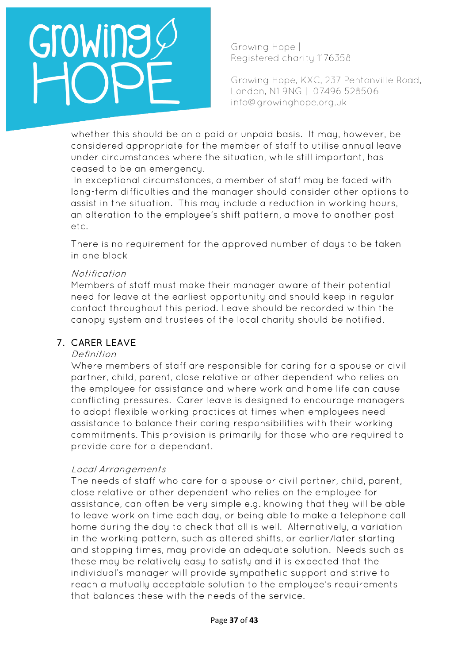Growing Hope | Registered charity 1176358

Growing Hope, KXC, 237 Pentonville Road, London, N1 9NG | 07496 528506 info@growinghope.org.uk

whether this should be on a paid or unpaid basis. It may, however, be considered appropriate for the member of staff to utilise annual leave under circumstances where the situation, while still important, has ceased to be an emergency.

In exceptional circumstances, a member of staff may be faced with long-term difficulties and the manager should consider other options to assist in the situation. This may include a reduction in working hours, an alteration to the employee's shift pattern, a move to another post etc.

There is no requirement for the approved number of days to be taken in one block

#### Notification

Members of staff must make their manager aware of their potential need for leave at the earliest opportunity and should keep in regular contact throughout this period. Leave should be recorded within the canopy system and trustees of the local charity should be notified.

### 7. CARER LEAVE

#### Definition

Where members of staff are responsible for caring for a spouse or civil partner, child, parent, close relative or other dependent who relies on the employee for assistance and where work and home life can cause conflicting pressures. Carer leave is designed to encourage managers to adopt flexible working practices at times when employees need assistance to balance their caring responsibilities with their working commitments. This provision is primarily for those who are required to provide care for a dependant.

#### Local Arrangements

The needs of staff who care for a spouse or civil partner, child, parent, close relative or other dependent who relies on the employee for assistance, can often be very simple e.g. knowing that they will be able to leave work on time each day, or being able to make a telephone call home during the day to check that all is well. Alternatively, a variation in the working pattern, such as altered shifts, or earlier/later starting and stopping times, may provide an adequate solution. Needs such as these may be relatively easy to satisfy and it is expected that the individual's manager will provide sympathetic support and strive to reach a mutually acceptable solution to the employee's requirements that balances these with the needs of the service.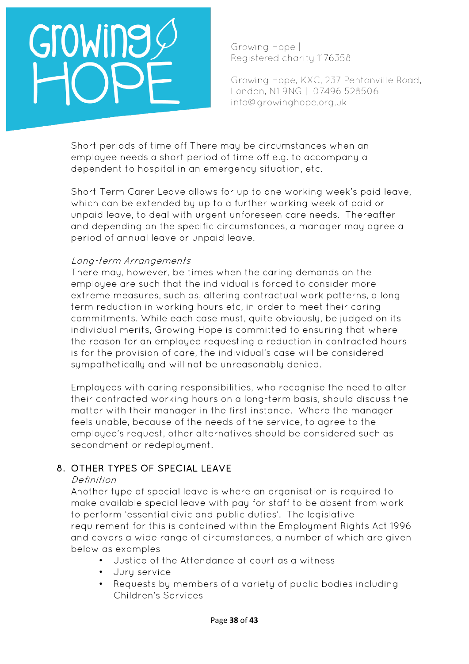Growing Hope | Registered charity 1176358

Growing Hope, KXC, 237 Pentonville Road, London, N1 9NG | 07496 528506 info@growinghope.org.uk

Short periods of time off There may be circumstances when an employee needs a short period of time off e.g. to accompany a dependent to hospital in an emergency situation, etc.

Short Term Carer Leave allows for up to one working week's paid leave, which can be extended by up to a further working week of paid or unpaid leave, to deal with urgent unforeseen care needs. Thereafter and depending on the specific circumstances, a manager may agree a period of annual leave or unpaid leave.

#### Long-term Arrangements

There may, however, be times when the caring demands on the employee are such that the individual is forced to consider more extreme measures, such as, altering contractual work patterns, a longterm reduction in working hours etc, in order to meet their caring commitments. While each case must, quite obviously, be judged on its individual merits, Growing Hope is committed to ensuring that where the reason for an employee requesting a reduction in contracted hours is for the provision of care, the individual's case will be considered sympathetically and will not be unreasonably denied.

Employees with caring responsibilities, who recognise the need to alter their contracted working hours on a long-term basis, should discuss the matter with their manager in the first instance. Where the manager feels unable, because of the needs of the service, to agree to the employee's request, other alternatives should be considered such as secondment or redeployment.

## 8. OTHER TYPES OF SPECIAL LEAVE

#### Definition

Another type of special leave is where an organisation is required to make available special leave with pay for staff to be absent from work to perform 'essential civic and public duties'. The legislative requirement for this is contained within the Employment Rights Act 1996 and covers a wide range of circumstances, a number of which are given below as examples

- Justice of the Attendance at court as a witness
- Jury service
- Requests by members of a variety of public bodies including Children's Services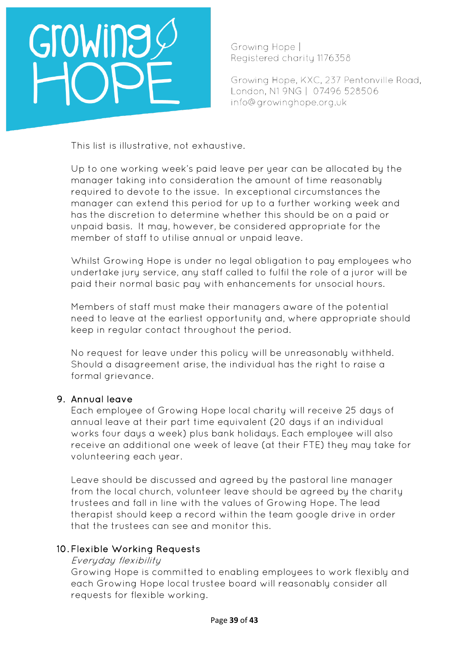# GroWine

Growing Hope | Registered charity 1176358

Growing Hope, KXC, 237 Pentonville Road, London, N1 9NG | 07496 528506 info@growinghope.org.uk

This list is illustrative, not exhaustive.

Up to one working week's paid leave per year can be allocated by the manager taking into consideration the amount of time reasonably required to devote to the issue. In exceptional circumstances the manager can extend this period for up to a further working week and has the discretion to determine whether this should be on a paid or unpaid basis. It may, however, be considered appropriate for the member of staff to utilise annual or unpaid leave.

Whilst Growing Hope is under no legal obligation to pay employees who undertake jury service, any staff called to fulfil the role of a juror will be paid their normal basic pay with enhancements for unsocial hours.

Members of staff must make their managers aware of the potential need to leave at the earliest opportunity and, where appropriate should keep in regular contact throughout the period.

No request for leave under this policy will be unreasonably withheld. Should a disagreement arise, the individual has the right to raise a formal grievance.

### 9. Annual leave

Each employee of Growing Hope local charity will receive 25 days of annual leave at their part time equivalent (20 days if an individual works four days a week) plus bank holidays. Each employee will also receive an additional one week of leave (at their FTE) they may take for volunteering each year.

Leave should be discussed and agreed by the pastoral line manager from the local church, volunteer leave should be agreed by the charity trustees and fall in line with the values of Growing Hope. The lead therapist should keep a record within the team google drive in order that the trustees can see and monitor this.

### 10. Flexible Working Requests

#### Everyday flexibility

Growing Hope is committed to enabling employees to work flexibly and each Growing Hope local trustee board will reasonably consider all requests for flexible working.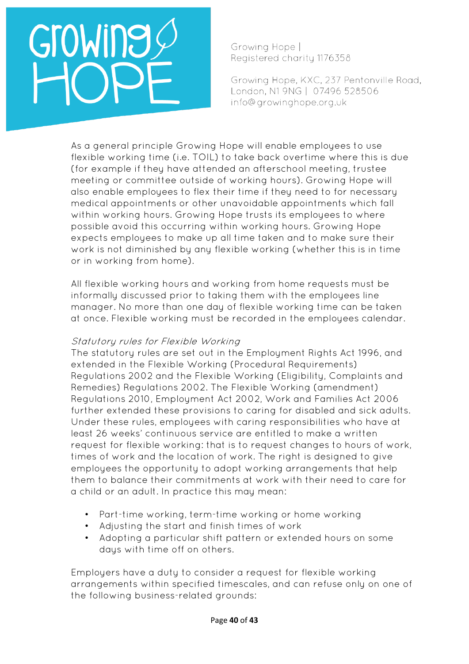# GroWine

Growing Hope | Registered charity 1176358

Growing Hope, KXC, 237 Pentonville Road, London, N1 9NG | 07496 528506 info@growinghope.org.uk

As a general principle Growing Hope will enable employees to use flexible working time (i.e. TOIL) to take back overtime where this is due (for example if they have attended an afterschool meeting, trustee meeting or committee outside of working hours). Growing Hope will also enable employees to flex their time if they need to for necessary medical appointments or other unavoidable appointments which fall within working hours. Growing Hope trusts its employees to where possible avoid this occurring within working hours. Growing Hope expects employees to make up all time taken and to make sure their work is not diminished by any flexible working (whether this is in time or in working from home).

All flexible working hours and working from home requests must be informally discussed prior to taking them with the employees line manager. No more than one day of flexible working time can be taken at once. Flexible working must be recorded in the employees calendar.

#### Statutory rules for Flexible Working

The statutory rules are set out in the Employment Rights Act 1996, and extended in the Flexible Working (Procedural Requirements) Regulations 2002 and the Flexible Working (Eligibility, Complaints and Remedies) Regulations 2002. The Flexible Working (amendment) Regulations 2010, Employment Act 2002, Work and Families Act 2006 further extended these provisions to caring for disabled and sick adults. Under these rules, employees with caring responsibilities who have at least 26 weeks' continuous service are entitled to make a written request for flexible working: that is to request changes to hours of work, times of work and the location of work. The right is designed to give employees the opportunity to adopt working arrangements that help them to balance their commitments at work with their need to care for a child or an adult. In practice this may mean:

- Part-time working, term-time working or home working
- Adjusting the start and finish times of work
- Adopting a particular shift pattern or extended hours on some days with time off on others.

Employers have a duty to consider a request for flexible working arrangements within specified timescales, and can refuse only on one of the following business-related grounds: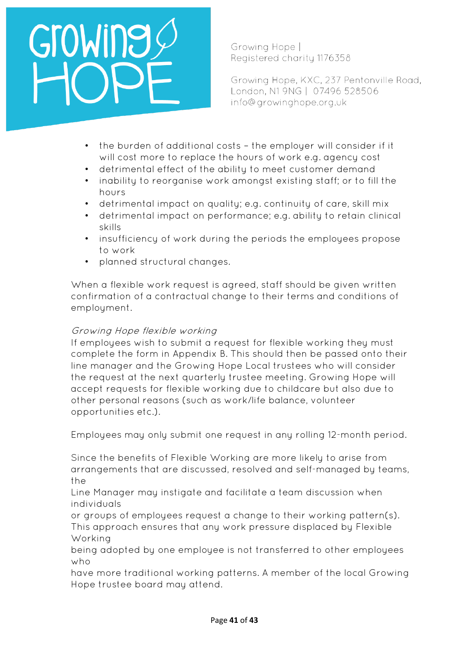## OWIN

Growing Hope | Registered charity 1176358

Growing Hope, KXC, 237 Pentonville Road, London, N1 9NG | 07496 528506 info@growinghope.org.uk

- the burden of additional costs the employer will consider if it will cost more to replace the hours of work e.g. agency cost
- detrimental effect of the ability to meet customer demand
- inability to reorganise work amongst existing staff; or to fill the hours
- detrimental impact on quality; e.g. continuity of care, skill mix
- detrimental impact on performance; e.g. ability to retain clinical skills
- insufficiency of work during the periods the employees propose to work
- planned structural changes.

When a flexible work request is agreed, staff should be given written confirmation of a contractual change to their terms and conditions of employment.

### Growing Hope flexible working

If employees wish to submit a request for flexible working they must complete the form in Appendix B. This should then be passed onto their line manager and the Growing Hope Local trustees who will consider the request at the next quarterly trustee meeting. Growing Hope will accept requests for flexible working due to childcare but also due to other personal reasons (such as work/life balance, volunteer opportunities etc.).

Employees may only submit one request in any rolling 12-month period.

Since the benefits of Flexible Working are more likely to arise from arrangements that are discussed, resolved and self-managed by teams, the

Line Manager may instigate and facilitate a team discussion when individuals

or groups of employees request a change to their working pattern(s). This approach ensures that any work pressure displaced by Flexible Working

being adopted by one employee is not transferred to other employees who

have more traditional working patterns. A member of the local Growing Hope trustee board may attend.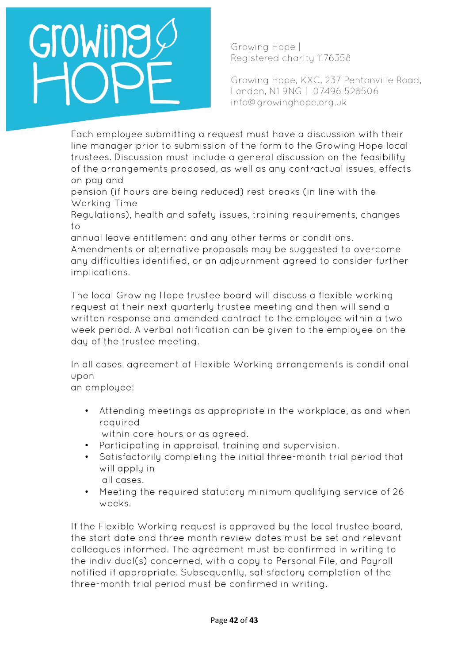Growing Hope | Registered charity 1176358

Growing Hope, KXC, 237 Pentonville Road, London, N1 9NG | 07496 528506 info@growinghope.org.uk

Each employee submitting a request must have a discussion with their line manager prior to submission of the form to the Growing Hope local trustees. Discussion must include a general discussion on the feasibility of the arrangements proposed, as well as any contractual issues, effects on pay and

pension (if hours are being reduced) rest breaks (in line with the Working Time

Regulations), health and safety issues, training requirements, changes to

annual leave entitlement and any other terms or conditions.

Amendments or alternative proposals may be suggested to overcome any difficulties identified, or an adjournment agreed to consider further implications.

The local Growing Hope trustee board will discuss a flexible working request at their next quarterly trustee meeting and then will send a written response and amended contract to the employee within a two week period. A verbal notification can be given to the employee on the day of the trustee meeting.

In all cases, agreement of Flexible Working arrangements is conditional upon

an employee:

- Attending meetings as appropriate in the workplace, as and when required
	- within core hours or as agreed.
- Participating in appraisal, training and supervision.
- Satisfactorily completing the initial three-month trial period that will apply in
	- all cases.
- Meeting the required statutory minimum qualifying service of 26 weeks.

If the Flexible Working request is approved by the local trustee board, the start date and three month review dates must be set and relevant colleagues informed. The agreement must be confirmed in writing to the individual(s) concerned, with a copy to Personal File, and Payroll notified if appropriate. Subsequently, satisfactory completion of the three-month trial period must be confirmed in writing.